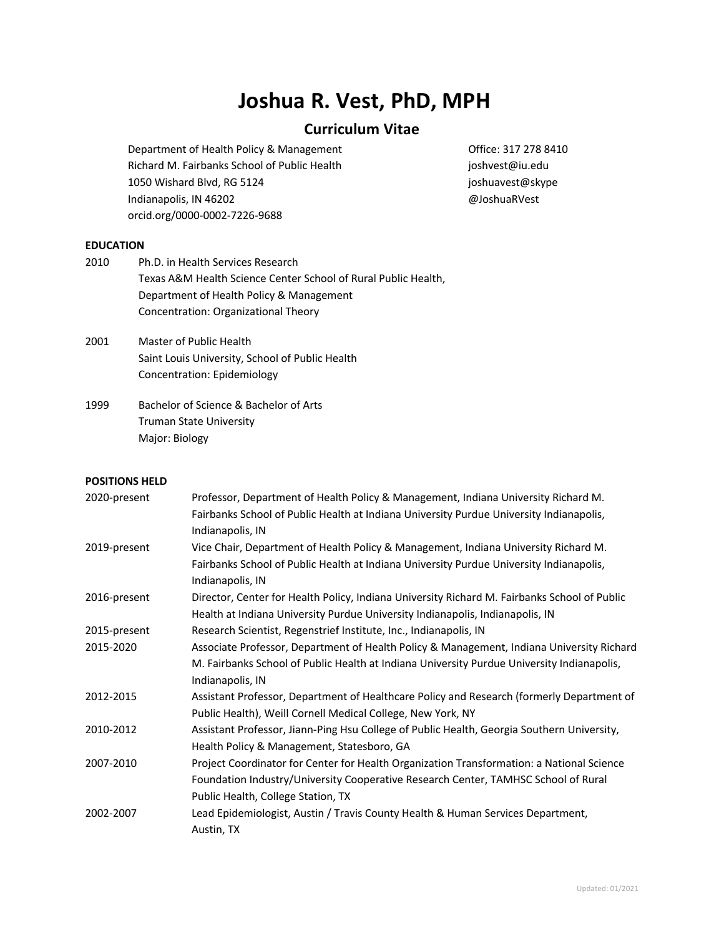# **Joshua R. Vest, PhD, MPH**

# **Curriculum Vitae**

Department of Health Policy & Management Channel Controllers 217 278 8410 Richard M. Fairbanks School of Public Health in the interval in the instruction of Public Health 1050 Wishard Blvd, RG 5124 joshuavest@skype Indianapolis, IN 46202 @JoshuaRVest orcid.org/0000-0002-7226-9688

## **EDUCATION**

| Texas A&M Health Science Center School of Rural Public Health, |
|----------------------------------------------------------------|
|                                                                |
|                                                                |
|                                                                |

- 2001 Master of Public Health Saint Louis University, School of Public Health Concentration: Epidemiology
- 1999 Bachelor of Science & Bachelor of Arts Truman State University Major: Biology

## **POSITIONS HELD**

| 2020-present | Professor, Department of Health Policy & Management, Indiana University Richard M.           |
|--------------|----------------------------------------------------------------------------------------------|
|              | Fairbanks School of Public Health at Indiana University Purdue University Indianapolis,      |
|              | Indianapolis, IN                                                                             |
| 2019-present | Vice Chair, Department of Health Policy & Management, Indiana University Richard M.          |
|              | Fairbanks School of Public Health at Indiana University Purdue University Indianapolis,      |
|              | Indianapolis, IN                                                                             |
| 2016-present | Director, Center for Health Policy, Indiana University Richard M. Fairbanks School of Public |
|              | Health at Indiana University Purdue University Indianapolis, Indianapolis, IN                |
| 2015-present | Research Scientist, Regenstrief Institute, Inc., Indianapolis, IN                            |
| 2015-2020    | Associate Professor, Department of Health Policy & Management, Indiana University Richard    |
|              | M. Fairbanks School of Public Health at Indiana University Purdue University Indianapolis,   |
|              | Indianapolis, IN                                                                             |
| 2012-2015    | Assistant Professor, Department of Healthcare Policy and Research (formerly Department of    |
|              | Public Health), Weill Cornell Medical College, New York, NY                                  |
| 2010-2012    | Assistant Professor, Jiann-Ping Hsu College of Public Health, Georgia Southern University,   |
|              | Health Policy & Management, Statesboro, GA                                                   |
| 2007-2010    | Project Coordinator for Center for Health Organization Transformation: a National Science    |
|              | Foundation Industry/University Cooperative Research Center, TAMHSC School of Rural           |
|              | Public Health, College Station, TX                                                           |
| 2002-2007    | Lead Epidemiologist, Austin / Travis County Health & Human Services Department,              |
|              | Austin, TX                                                                                   |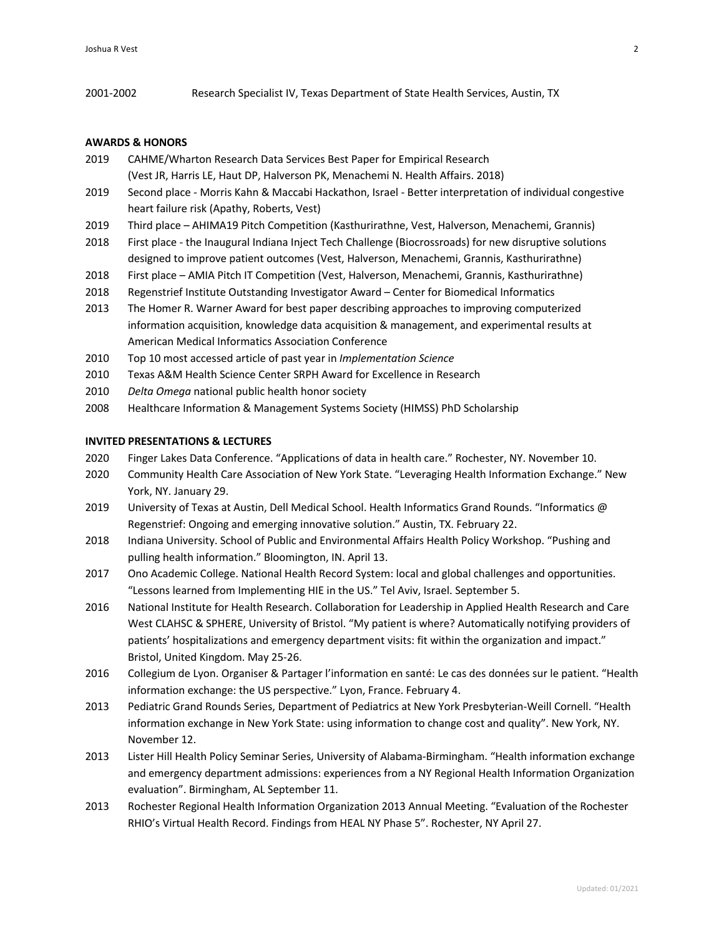2001-2002 Research Specialist IV, Texas Department of State Health Services, Austin, TX

## **AWARDS & HONORS**

- 2019 CAHME/Wharton Research Data Services Best Paper for Empirical Research (Vest JR, Harris LE, Haut DP, Halverson PK, Menachemi N. Health Affairs. 2018)
- 2019 Second place Morris Kahn & Maccabi Hackathon, Israel Better interpretation of individual congestive heart failure risk (Apathy, Roberts, Vest)
- 2019 Third place AHIMA19 Pitch Competition (Kasthurirathne, Vest, Halverson, Menachemi, Grannis)
- 2018 First place the Inaugural Indiana Inject Tech Challenge (Biocrossroads) for new disruptive solutions designed to improve patient outcomes (Vest, Halverson, Menachemi, Grannis, Kasthurirathne)
- 2018 First place AMIA Pitch IT Competition (Vest, Halverson, Menachemi, Grannis, Kasthurirathne)
- 2018 Regenstrief Institute Outstanding Investigator Award Center for Biomedical Informatics
- 2013 The Homer R. Warner Award for best paper describing approaches to improving computerized information acquisition, knowledge data acquisition & management, and experimental results at American Medical Informatics Association Conference
- 2010 Top 10 most accessed article of past year in *Implementation Science*
- 2010 Texas A&M Health Science Center SRPH Award for Excellence in Research
- 2010 *Delta Omega* national public health honor society
- 2008 Healthcare Information & Management Systems Society (HIMSS) PhD Scholarship

## **INVITED PRESENTATIONS & LECTURES**

- 2020 Finger Lakes Data Conference. "Applications of data in health care." Rochester, NY. November 10.
- 2020 Community Health Care Association of New York State. "Leveraging Health Information Exchange." New York, NY. January 29.
- 2019 University of Texas at Austin, Dell Medical School. Health Informatics Grand Rounds. "Informatics @ Regenstrief: Ongoing and emerging innovative solution." Austin, TX. February 22.
- 2018 Indiana University. School of Public and Environmental Affairs Health Policy Workshop. "Pushing and pulling health information." Bloomington, IN. April 13.
- 2017 Ono Academic College. National Health Record System: local and global challenges and opportunities. "Lessons learned from Implementing HIE in the US." Tel Aviv, Israel. September 5.
- 2016 National Institute for Health Research. Collaboration for Leadership in Applied Health Research and Care West CLAHSC & SPHERE, University of Bristol. "My patient is where? Automatically notifying providers of patients' hospitalizations and emergency department visits: fit within the organization and impact." Bristol, United Kingdom. May 25-26.
- 2016 Collegium de Lyon. Organiser & Partager l'information en santé: Le cas des données sur le patient. "Health information exchange: the US perspective." Lyon, France. February 4.
- 2013 Pediatric Grand Rounds Series, Department of Pediatrics at New York Presbyterian-Weill Cornell. "Health information exchange in New York State: using information to change cost and quality". New York, NY. November 12.
- 2013 Lister Hill Health Policy Seminar Series, University of Alabama-Birmingham. "Health information exchange and emergency department admissions: experiences from a NY Regional Health Information Organization evaluation". Birmingham, AL September 11.
- 2013 Rochester Regional Health Information Organization 2013 Annual Meeting. "Evaluation of the Rochester RHIO's Virtual Health Record. Findings from HEAL NY Phase 5". Rochester, NY April 27.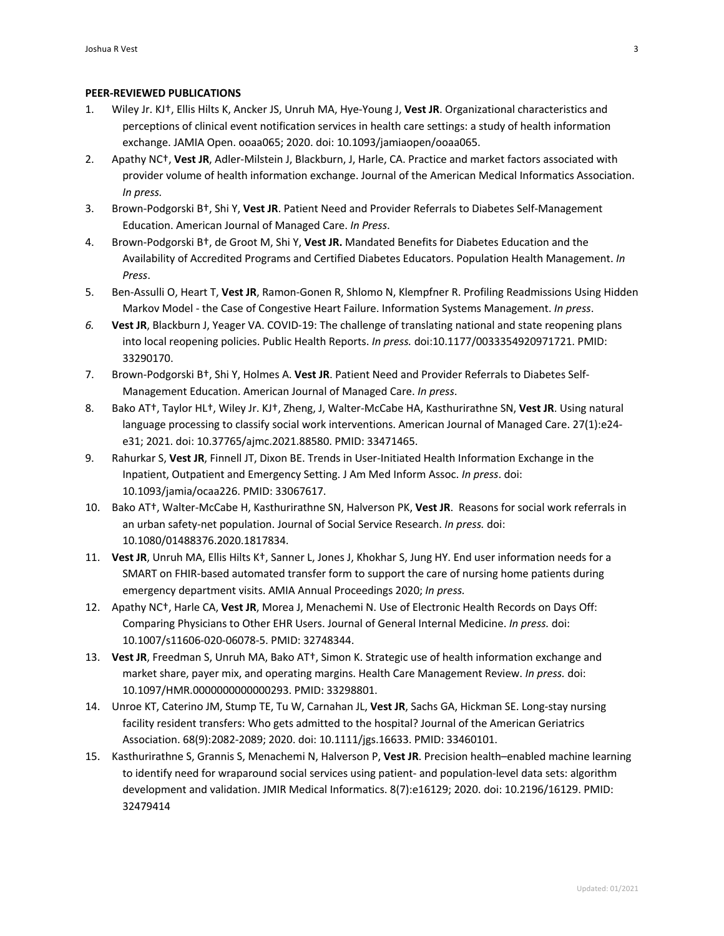### **PEER-REVIEWED PUBLICATIONS**

- 1. Wiley Jr. KJ†, Ellis Hilts K, Ancker JS, Unruh MA, Hye-Young J, **Vest JR**. Organizational characteristics and perceptions of clinical event notification services in health care settings: a study of health information exchange. JAMIA Open. ooaa065; 2020. doi: 10.1093/jamiaopen/ooaa065.
- 2. Apathy NC†, **Vest JR**, Adler-Milstein J, Blackburn, J, Harle, CA. Practice and market factors associated with provider volume of health information exchange. Journal of the American Medical Informatics Association. *In press.*
- 3. Brown-Podgorski B†, Shi Y, **Vest JR**. Patient Need and Provider Referrals to Diabetes Self-Management Education. American Journal of Managed Care. *In Press*.
- 4. Brown-Podgorski B†, de Groot M, Shi Y, **Vest JR.** Mandated Benefits for Diabetes Education and the Availability of Accredited Programs and Certified Diabetes Educators. Population Health Management. *In Press*.
- 5. Ben-Assulli O, Heart T, **Vest JR**, Ramon-Gonen R, Shlomo N, Klempfner R. Profiling Readmissions Using Hidden Markov Model - the Case of Congestive Heart Failure. Information Systems Management. *In press*.
- *6.* **Vest JR**, Blackburn J, Yeager VA. COVID-19: The challenge of translating national and state reopening plans into local reopening policies. Public Health Reports. *In press.* doi:10.1177/0033354920971721. PMID: 33290170.
- 7. Brown-Podgorski B†, Shi Y, Holmes A. **Vest JR**. Patient Need and Provider Referrals to Diabetes Self-Management Education. American Journal of Managed Care. *In press*.
- 8. Bako AT†, Taylor HL†, Wiley Jr. KJ†, Zheng, J, Walter-McCabe HA, Kasthurirathne SN, **Vest JR**. Using natural language processing to classify social work interventions. American Journal of Managed Care. 27(1):e24 e31; 2021. doi: 10.37765/ajmc.2021.88580. PMID: 33471465.
- 9. Rahurkar S, **Vest JR**, Finnell JT, Dixon BE. Trends in User-Initiated Health Information Exchange in the Inpatient, Outpatient and Emergency Setting. J Am Med Inform Assoc. *In press*. doi: 10.1093/jamia/ocaa226. PMID: 33067617.
- 10. Bako AT†, Walter-McCabe H, Kasthurirathne SN, Halverson PK, **Vest JR**. Reasons for social work referrals in an urban safety-net population. Journal of Social Service Research. *In press.* doi: 10.1080/01488376.2020.1817834.
- 11. **Vest JR**, Unruh MA, Ellis Hilts K†, Sanner L, Jones J, Khokhar S, Jung HY. End user information needs for a SMART on FHIR-based automated transfer form to support the care of nursing home patients during emergency department visits. AMIA Annual Proceedings 2020; *In press.*
- 12. Apathy NC†, Harle CA, **Vest JR**, Morea J, Menachemi N. Use of Electronic Health Records on Days Off: Comparing Physicians to Other EHR Users. Journal of General Internal Medicine. *In press.* doi: 10.1007/s11606-020-06078-5. PMID: 32748344.
- 13. **Vest JR**, Freedman S, Unruh MA, Bako AT†, Simon K. Strategic use of health information exchange and market share, payer mix, and operating margins. Health Care Management Review. *In press.* doi: 10.1097/HMR.0000000000000293. PMID: 33298801.
- 14. Unroe KT, Caterino JM, Stump TE, Tu W, Carnahan JL, **Vest JR**, Sachs GA, Hickman SE. Long-stay nursing facility resident transfers: Who gets admitted to the hospital? Journal of the American Geriatrics Association. 68(9):2082-2089; 2020. doi: 10.1111/jgs.16633. PMID: 33460101.
- 15. Kasthurirathne S, Grannis S, Menachemi N, Halverson P, **Vest JR**. Precision health–enabled machine learning to identify need for wraparound social services using patient- and population-level data sets: algorithm development and validation. JMIR Medical Informatics. 8(7):e16129; 2020. doi: 10.2196/16129. PMID: 32479414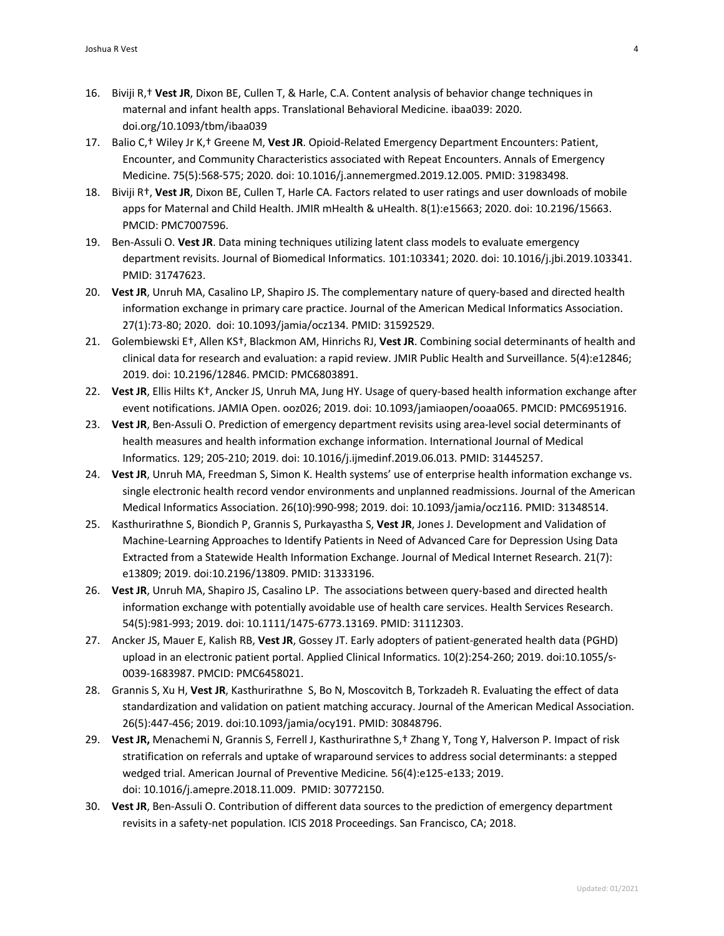- 16. Biviji R,† **Vest JR**, Dixon BE, Cullen T, & Harle, C.A. Content analysis of behavior change techniques in maternal and infant health apps. Translational Behavioral Medicine. ibaa039: 2020. doi.org/10.1093/tbm/ibaa039
- 17. Balio C,† Wiley Jr K,† Greene M, **Vest JR**. Opioid-Related Emergency Department Encounters: Patient, Encounter, and Community Characteristics associated with Repeat Encounters. Annals of Emergency Medicine. 75(5):568-575; 2020. doi: 10.1016/j.annemergmed.2019.12.005. PMID: 31983498.
- 18. Biviji R†, **Vest JR**, Dixon BE, Cullen T, Harle CA. Factors related to user ratings and user downloads of mobile apps for Maternal and Child Health. JMIR mHealth & uHealth. 8(1):e15663; 2020. doi: 10.2196/15663. PMCID: PMC7007596.
- 19. Ben-Assuli O. **Vest JR**. Data mining techniques utilizing latent class models to evaluate emergency department revisits. Journal of Biomedical Informatics. 101:103341; 2020. doi: 10.1016/j.jbi.2019.103341. PMID: 31747623.
- 20. **Vest JR**, Unruh MA, Casalino LP, Shapiro JS. The complementary nature of query-based and directed health information exchange in primary care practice. Journal of the American Medical Informatics Association. 27(1):73-80; 2020. doi: 10.1093/jamia/ocz134. PMID: 31592529.
- 21. Golembiewski E†, Allen KS†, Blackmon AM, Hinrichs RJ, **Vest JR**. Combining social determinants of health and clinical data for research and evaluation: a rapid review. JMIR Public Health and Surveillance. 5(4):e12846; 2019. doi: 10.2196/12846. PMCID: PMC6803891.
- 22. **Vest JR**, Ellis Hilts K†, Ancker JS, Unruh MA, Jung HY. Usage of query-based health information exchange after event notifications. JAMIA Open. ooz026; 2019. doi: 10.1093/jamiaopen/ooaa065. PMCID: PMC6951916.
- 23. **Vest JR**, Ben-Assuli O. Prediction of emergency department revisits using area-level social determinants of health measures and health information exchange information. International Journal of Medical Informatics. 129; 205-210; 2019. doi: 10.1016/j.ijmedinf.2019.06.013. PMID: 31445257.
- 24. **Vest JR**, Unruh MA, Freedman S, Simon K. Health systems' use of enterprise health information exchange vs. single electronic health record vendor environments and unplanned readmissions. Journal of the American Medical Informatics Association. 26(10):990-998; 2019. doi: 10.1093/jamia/ocz116. PMID: 31348514.
- 25. Kasthurirathne S, Biondich P, Grannis S, Purkayastha S, **Vest JR**, Jones J. Development and Validation of Machine-Learning Approaches to Identify Patients in Need of Advanced Care for Depression Using Data Extracted from a Statewide Health Information Exchange. Journal of Medical Internet Research. 21(7): e13809; 2019. doi:10.2196/13809. PMID: 31333196.
- 26. **Vest JR**, Unruh MA, Shapiro JS, Casalino LP. The associations between query-based and directed health information exchange with potentially avoidable use of health care services. Health Services Research. 54(5):981-993; 2019. doi: 10.1111/1475-6773.13169. PMID: 31112303.
- 27. Ancker JS, Mauer E, Kalish RB, **Vest JR**, Gossey JT. Early adopters of patient-generated health data (PGHD) upload in an electronic patient portal. Applied Clinical Informatics. 10(2):254-260; 2019. doi:10.1055/s-0039-1683987. PMCID: PMC6458021.
- 28. Grannis S, Xu H, **Vest JR**, Kasthurirathne S, Bo N, Moscovitch B, Torkzadeh R. Evaluating the effect of data standardization and validation on patient matching accuracy. Journal of the American Medical Association. 26(5):447-456; 2019. doi:10.1093/jamia/ocy191. PMID: 30848796.
- 29. **Vest JR,** Menachemi N, Grannis S, Ferrell J, Kasthurirathne S,† Zhang Y, Tong Y, Halverson P. Impact of risk stratification on referrals and uptake of wraparound services to address social determinants: a stepped wedged trial. American Journal of Preventive Medicine*.* 56(4):e125-e133; 2019. doi: 10.1016/j.amepre.2018.11.009. PMID: 30772150.
- 30. **Vest JR**, Ben-Assuli O. Contribution of different data sources to the prediction of emergency department revisits in a safety-net population. ICIS 2018 Proceedings. San Francisco, CA; 2018.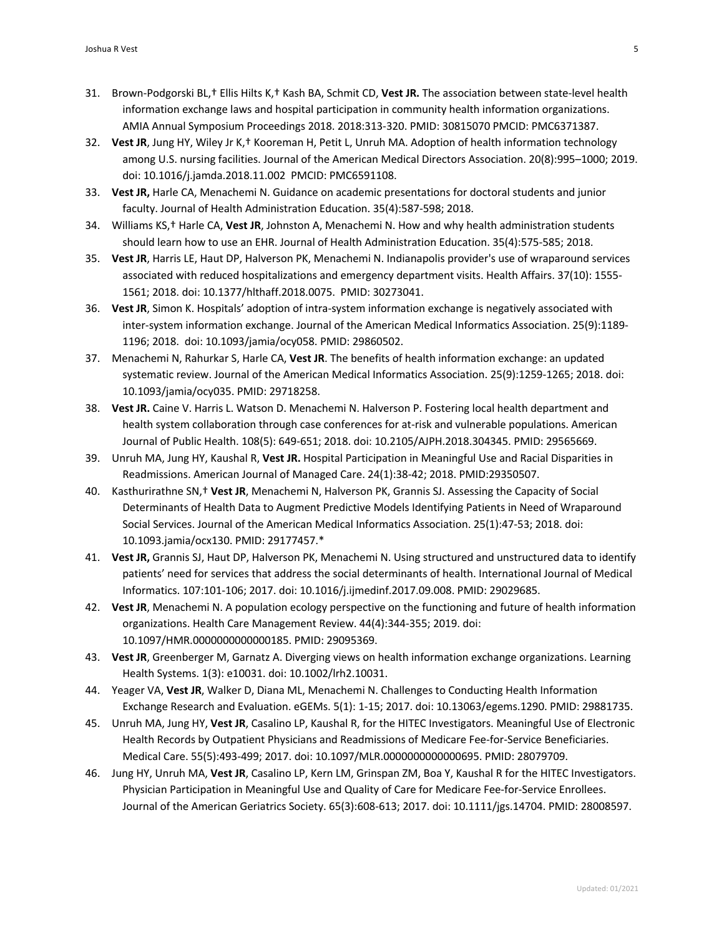- 31. Brown-Podgorski BL,† Ellis Hilts K,† Kash BA, Schmit CD, **Vest JR.** The association between state-level health information exchange laws and hospital participation in community health information organizations. AMIA Annual Symposium Proceedings 2018. 2018:313-320. PMID: 30815070 PMCID: PMC6371387.
- 32. **Vest JR**, Jung HY, Wiley Jr K,† Kooreman H, Petit L, Unruh MA. Adoption of health information technology among U.S. nursing facilities. Journal of the American Medical Directors Association. 20(8):995–1000; 2019. doi: 10.1016/j.jamda.2018.11.002 PMCID: PMC6591108.
- 33. **Vest JR,** Harle CA, Menachemi N. Guidance on academic presentations for doctoral students and junior faculty. Journal of Health Administration Education. 35(4):587-598; 2018.
- 34. Williams KS,† Harle CA, **Vest JR**, Johnston A, Menachemi N. How and why health administration students should learn how to use an EHR. Journal of Health Administration Education. 35(4):575-585; 2018.
- 35. **Vest JR**, Harris LE, Haut DP, Halverson PK, Menachemi N. Indianapolis provider's use of wraparound services associated with reduced hospitalizations and emergency department visits. Health Affairs. 37(10): 1555- 1561; 2018. doi: 10.1377/hlthaff.2018.0075. PMID: 30273041.
- 36. **Vest JR**, Simon K. Hospitals' adoption of intra-system information exchange is negatively associated with inter-system information exchange. Journal of the American Medical Informatics Association. 25(9):1189- 1196; 2018. doi: 10.1093/jamia/ocy058. PMID: 29860502.
- 37. Menachemi N, Rahurkar S, Harle CA, **Vest JR**. The benefits of health information exchange: an updated systematic review. Journal of the American Medical Informatics Association. 25(9):1259-1265; 2018. doi: 10.1093/jamia/ocy035. PMID: 29718258.
- 38. **Vest JR.** Caine V. Harris L. Watson D. Menachemi N. Halverson P. Fostering local health department and health system collaboration through case conferences for at-risk and vulnerable populations. American Journal of Public Health. 108(5): 649-651; 2018. doi: 10.2105/AJPH.2018.304345. PMID: 29565669.
- 39. Unruh MA, Jung HY, Kaushal R, **Vest JR.** Hospital Participation in Meaningful Use and Racial Disparities in Readmissions. American Journal of Managed Care. 24(1):38-42; 2018. PMID:29350507.
- 40. Kasthurirathne SN,† **Vest JR**, Menachemi N, Halverson PK, Grannis SJ. Assessing the Capacity of Social Determinants of Health Data to Augment Predictive Models Identifying Patients in Need of Wraparound Social Services. Journal of the American Medical Informatics Association. 25(1):47-53; 2018. doi: 10.1093.jamia/ocx130. PMID: 29177457.\*
- 41. **Vest JR,** Grannis SJ, Haut DP, Halverson PK, Menachemi N. Using structured and unstructured data to identify patients' need for services that address the social determinants of health. International Journal of Medical Informatics. 107:101-106; 2017. doi: 10.1016/j.ijmedinf.2017.09.008. PMID: 29029685.
- 42. **Vest JR**, Menachemi N. A population ecology perspective on the functioning and future of health information organizations. Health Care Management Review. 44(4):344-355; 2019. doi: 10.1097/HMR.0000000000000185. PMID: 29095369.
- 43. **Vest JR**, Greenberger M, Garnatz A. Diverging views on health information exchange organizations. Learning Health Systems. 1(3): e10031. doi: 10.1002/lrh2.10031.
- 44. Yeager VA, **Vest JR**, Walker D, Diana ML, Menachemi N. Challenges to Conducting Health Information Exchange Research and Evaluation. eGEMs. 5(1): 1-15; 2017. doi: 10.13063/egems.1290. PMID: 29881735.
- 45. Unruh MA, Jung HY, **Vest JR**, Casalino LP, Kaushal R, for the HITEC Investigators. Meaningful Use of Electronic Health Records by Outpatient Physicians and Readmissions of Medicare Fee-for-Service Beneficiaries. Medical Care. 55(5):493-499; 2017. doi: 10.1097/MLR.0000000000000695. PMID: 28079709.
- 46. Jung HY, Unruh MA, **Vest JR**, Casalino LP, Kern LM, Grinspan ZM, Boa Y, Kaushal R for the HITEC Investigators. Physician Participation in Meaningful Use and Quality of Care for Medicare Fee-for-Service Enrollees. Journal of the American Geriatrics Society. 65(3):608-613; 2017. doi: 10.1111/jgs.14704. PMID: 28008597.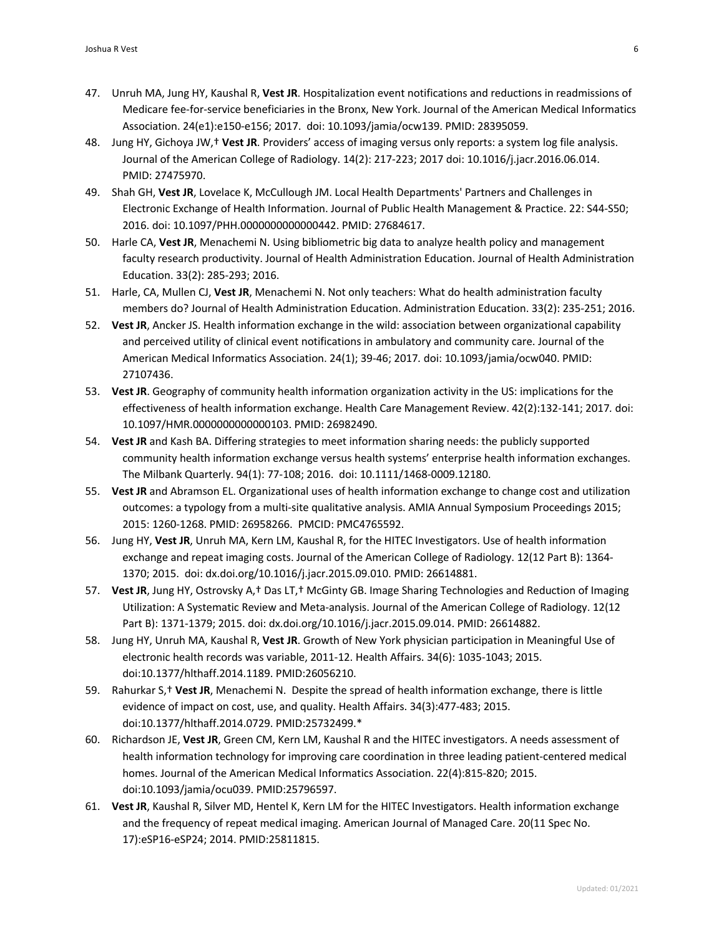- 47. Unruh MA, Jung HY, Kaushal R, **Vest JR**. Hospitalization event notifications and reductions in readmissions of Medicare fee-for-service beneficiaries in the Bronx, New York. Journal of the American Medical Informatics Association. 24(e1):e150-e156; 2017. doi: 10.1093/jamia/ocw139. PMID: 28395059.
- 48. Jung HY, Gichoya JW,† **Vest JR**. Providers' access of imaging versus only reports: a system log file analysis. Journal of the American College of Radiology. 14(2): 217-223; 2017 doi: 10.1016/j.jacr.2016.06.014. PMID: 27475970.
- 49. Shah GH, **Vest JR**, Lovelace K, McCullough JM. Local Health Departments' Partners and Challenges in Electronic Exchange of Health Information. Journal of Public Health Management & Practice. 22: S44-S50; 2016. doi: 10.1097/PHH.0000000000000442. PMID: 27684617.
- 50. Harle CA, **Vest JR**, Menachemi N. Using bibliometric big data to analyze health policy and management faculty research productivity. Journal of Health Administration Education. Journal of Health Administration Education. 33(2): 285-293; 2016.
- 51. Harle, CA, Mullen CJ, **Vest JR**, Menachemi N. Not only teachers: What do health administration faculty members do? Journal of Health Administration Education. Administration Education. 33(2): 235-251; 2016.
- 52. **Vest JR**, Ancker JS. Health information exchange in the wild: association between organizational capability and perceived utility of clinical event notifications in ambulatory and community care. Journal of the American Medical Informatics Association. 24(1); 39-46; 2017*.* doi: 10.1093/jamia/ocw040. PMID: 27107436.
- 53. **Vest JR**. Geography of community health information organization activity in the US: implications for the effectiveness of health information exchange. Health Care Management Review. 42(2):132-141; 2017*.* doi: 10.1097/HMR.0000000000000103. PMID: 26982490.
- 54. **Vest JR** and Kash BA. Differing strategies to meet information sharing needs: the publicly supported community health information exchange versus health systems' enterprise health information exchanges. The Milbank Quarterly. 94(1): 77-108; 2016. doi: 10.1111/1468-0009.12180.
- 55. **Vest JR** and Abramson EL. Organizational uses of health information exchange to change cost and utilization outcomes: a typology from a multi-site qualitative analysis. AMIA Annual Symposium Proceedings 2015; 2015: 1260-1268. PMID: 26958266. PMCID: PMC4765592.
- 56. Jung HY, **Vest JR**, Unruh MA, Kern LM, Kaushal R, for the HITEC Investigators. Use of health information exchange and repeat imaging costs. Journal of the American College of Radiology. 12(12 Part B): 1364- 1370; 2015. doi: dx.doi.org/10.1016/j.jacr.2015.09.010. PMID: 26614881.
- 57. **Vest JR**, Jung HY, Ostrovsky A,† Das LT,† McGinty GB. Image Sharing Technologies and Reduction of Imaging Utilization: A Systematic Review and Meta-analysis. Journal of the American College of Radiology. 12(12 Part B): 1371-1379; 2015. doi: dx.doi.org/10.1016/j.jacr.2015.09.014. PMID: 26614882.
- 58. Jung HY, Unruh MA, Kaushal R, **Vest JR**. Growth of New York physician participation in Meaningful Use of electronic health records was variable, 2011-12. Health Affairs. 34(6): 1035-1043; 2015. doi:10.1377/hlthaff.2014.1189. PMID:26056210.
- 59. Rahurkar S,† **Vest JR**, Menachemi N. Despite the spread of health information exchange, there is little evidence of impact on cost, use, and quality. Health Affairs. 34(3):477-483; 2015. doi:10.1377/hlthaff.2014.0729. PMID:25732499.\*
- 60. Richardson JE, **Vest JR**, Green CM, Kern LM, Kaushal R and the HITEC investigators. A needs assessment of health information technology for improving care coordination in three leading patient-centered medical homes. Journal of the American Medical Informatics Association. 22(4):815-820; 2015. doi:10.1093/jamia/ocu039. PMID:25796597.
- 61. **Vest JR**, Kaushal R, Silver MD, Hentel K, Kern LM for the HITEC Investigators. Health information exchange and the frequency of repeat medical imaging. American Journal of Managed Care. 20(11 Spec No. 17):eSP16-eSP24; 2014. PMID:25811815.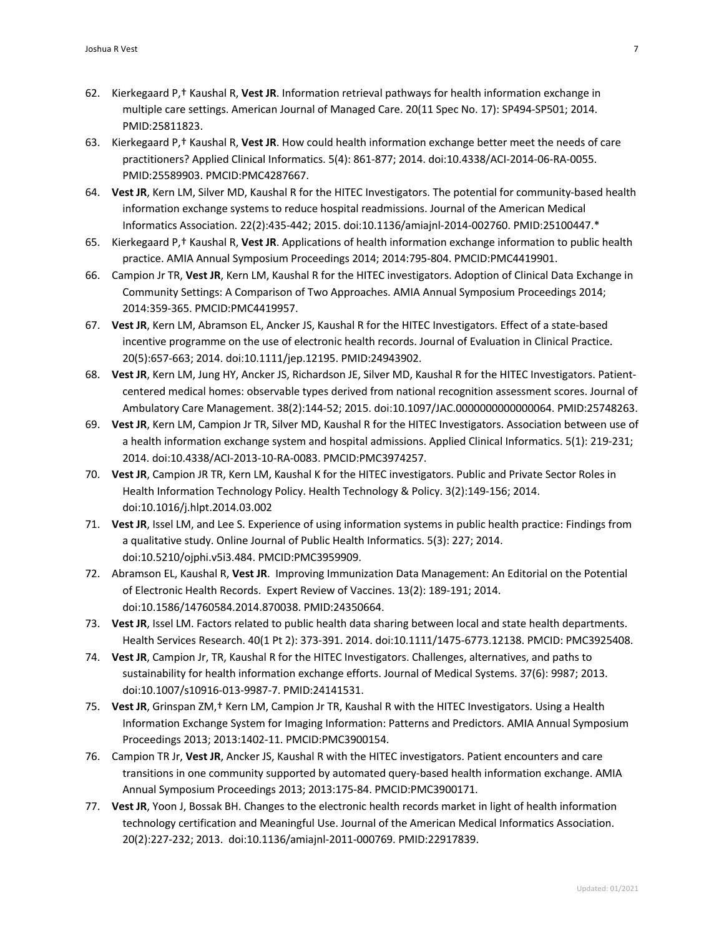- 62. Kierkegaard P,† Kaushal R, **Vest JR**. Information retrieval pathways for health information exchange in multiple care settings. American Journal of Managed Care. 20(11 Spec No. 17): SP494-SP501; 2014. PMID:25811823.
- 63. Kierkegaard P,† Kaushal R, **Vest JR**. How could health information exchange better meet the needs of care practitioners? Applied Clinical Informatics. 5(4): 861-877; 2014. doi:10.4338/ACI-2014-06-RA-0055. PMID:25589903. PMCID:PMC4287667.
- 64. **Vest JR**, Kern LM, Silver MD, Kaushal R for the HITEC Investigators. The potential for community-based health information exchange systems to reduce hospital readmissions. Journal of the American Medical Informatics Association. 22(2):435-442; 2015. doi:10.1136/amiajnl-2014-002760. PMID:25100447.\*
- 65. Kierkegaard P,† Kaushal R, **Vest JR**. Applications of health information exchange information to public health practice. AMIA Annual Symposium Proceedings 2014; 2014:795-804. PMCID:PMC4419901.
- 66. Campion Jr TR, **Vest JR**, Kern LM, Kaushal R for the HITEC investigators. Adoption of Clinical Data Exchange in Community Settings: A Comparison of Two Approaches. AMIA Annual Symposium Proceedings 2014; 2014:359-365. PMCID:PMC4419957.
- 67. **Vest JR**, Kern LM, Abramson EL, Ancker JS, Kaushal R for the HITEC Investigators. Effect of a state-based incentive programme on the use of electronic health records. Journal of Evaluation in Clinical Practice. 20(5):657-663; 2014. doi:10.1111/jep.12195. PMID:24943902.
- 68. **Vest JR**, Kern LM, Jung HY, Ancker JS, Richardson JE, Silver MD, Kaushal R for the HITEC Investigators. Patientcentered medical homes: observable types derived from national recognition assessment scores. Journal of Ambulatory Care Management. 38(2):144-52; 2015. doi:10.1097/JAC.0000000000000064. PMID:25748263.
- 69. **Vest JR**, Kern LM, Campion Jr TR, Silver MD, Kaushal R for the HITEC Investigators. Association between use of a health information exchange system and hospital admissions. Applied Clinical Informatics. 5(1): 219-231; 2014. doi:10.4338/ACI-2013-10-RA-0083. PMCID:PMC3974257.
- 70. **Vest JR**, Campion JR TR, Kern LM, Kaushal K for the HITEC investigators. Public and Private Sector Roles in Health Information Technology Policy. Health Technology & Policy. 3(2):149-156; 2014. doi:10.1016/j.hlpt.2014.03.002
- 71. **Vest JR**, Issel LM, and Lee S. Experience of using information systems in public health practice: Findings from a qualitative study. Online Journal of Public Health Informatics. 5(3): 227; 2014. doi:10.5210/ojphi.v5i3.484. PMCID:PMC3959909.
- 72. Abramson EL, Kaushal R, **Vest JR**. Improving Immunization Data Management: An Editorial on the Potential of Electronic Health Records. Expert Review of Vaccines. 13(2): 189-191; 2014. doi:10.1586/14760584.2014.870038. PMID:24350664.
- 73. **Vest JR**, Issel LM. Factors related to public health data sharing between local and state health departments. Health Services Research. 40(1 Pt 2): 373-391. 2014. doi:10.1111/1475-6773.12138. PMCID: PMC3925408.
- 74. **Vest JR**, Campion Jr, TR, Kaushal R for the HITEC Investigators. Challenges, alternatives, and paths to sustainability for health information exchange efforts. Journal of Medical Systems. 37(6): 9987; 2013. doi:10.1007/s10916-013-9987-7. PMID:24141531.
- 75. **Vest JR**, Grinspan ZM,† Kern LM, Campion Jr TR, Kaushal R with the HITEC Investigators. Using a Health Information Exchange System for Imaging Information: Patterns and Predictors. AMIA Annual Symposium Proceedings 2013; 2013:1402-11. PMCID:PMC3900154.
- 76. Campion TR Jr, **Vest JR**, Ancker JS, Kaushal R with the HITEC investigators. Patient encounters and care transitions in one community supported by automated query-based health information exchange. AMIA Annual Symposium Proceedings 2013; 2013:175-84. PMCID:PMC3900171.
- 77. **Vest JR**, Yoon J, Bossak BH. Changes to the electronic health records market in light of health information technology certification and Meaningful Use. Journal of the American Medical Informatics Association. 20(2):227-232; 2013. doi:10.1136/amiajnl-2011-000769. PMID:22917839.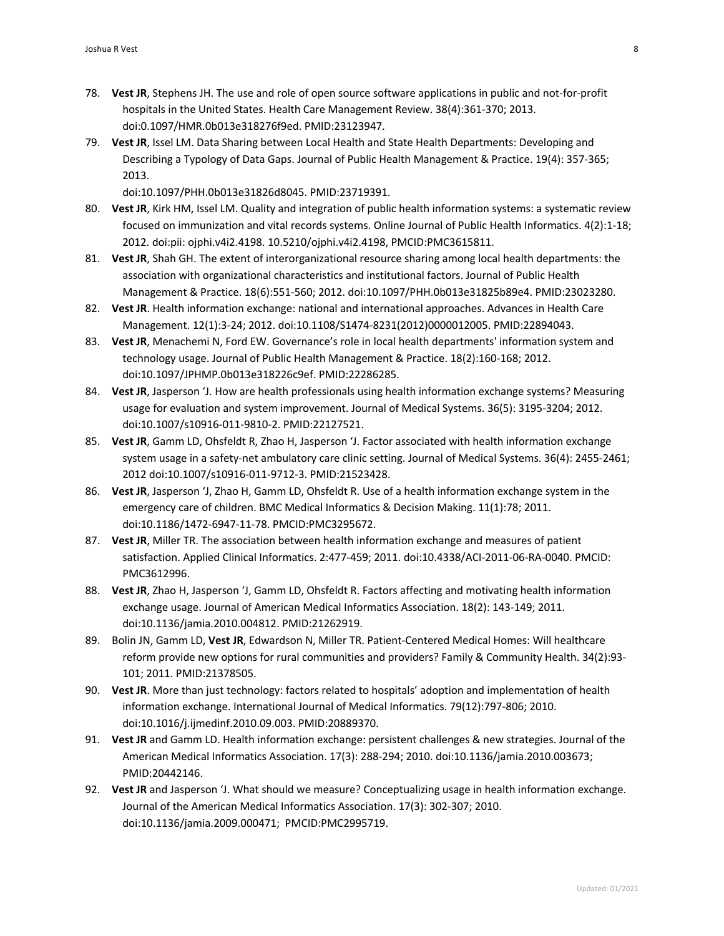- 78. **Vest JR**, Stephens JH. The use and role of open source software applications in public and not-for-profit hospitals in the United States. Health Care Management Review. 38(4):361-370; 2013. doi:0.1097/HMR.0b013e318276f9ed. PMID:23123947.
- 79. **Vest JR**, Issel LM. Data Sharing between Local Health and State Health Departments: Developing and Describing a Typology of Data Gaps. Journal of Public Health Management & Practice. 19(4): 357-365; 2013.

doi:10.1097/PHH.0b013e31826d8045. PMID:23719391.

- 80. **Vest JR**, Kirk HM, Issel LM. Quality and integration of public health information systems: a systematic review focused on immunization and vital records systems. Online Journal of Public Health Informatics. 4(2):1-18; 2012. doi:pii: ojphi.v4i2.4198. 10.5210/ojphi.v4i2.4198, PMCID:PMC3615811.
- 81. **Vest JR**, Shah GH. The extent of interorganizational resource sharing among local health departments: the association with organizational characteristics and institutional factors. Journal of Public Health Management & Practice. 18(6):551-560; 2012. doi:10.1097/PHH.0b013e31825b89e4. PMID:23023280.
- 82. **Vest JR**. Health information exchange: national and international approaches. Advances in Health Care Management. 12(1):3-24; 2012. doi:10.1108/S1474-8231(2012)0000012005. PMID:22894043.
- 83. **Vest JR**, Menachemi N, Ford EW. Governance's role in local health departments' information system and technology usage. Journal of Public Health Management & Practice. 18(2):160-168; 2012. doi:10.1097/JPHMP.0b013e318226c9ef. PMID:22286285.
- 84. **Vest JR**, Jasperson 'J. How are health professionals using health information exchange systems? Measuring usage for evaluation and system improvement. Journal of Medical Systems. 36(5): 3195-3204; 2012. doi:10.1007/s10916-011-9810-2. PMID:22127521.
- 85. **Vest JR**, Gamm LD, Ohsfeldt R, Zhao H, Jasperson 'J. Factor associated with health information exchange system usage in a safety-net ambulatory care clinic setting. Journal of Medical Systems. 36(4): 2455-2461; 2012 doi:10.1007/s10916-011-9712-3. PMID:21523428.
- 86. **Vest JR**, Jasperson 'J, Zhao H, Gamm LD, Ohsfeldt R. Use of a health information exchange system in the emergency care of children. BMC Medical Informatics & Decision Making. 11(1):78; 2011. doi:10.1186/1472-6947-11-78. PMCID:PMC3295672.
- 87. **Vest JR**, Miller TR. The association between health information exchange and measures of patient satisfaction. Applied Clinical Informatics. 2:477-459; 2011. doi:10.4338/ACI-2011-06-RA-0040. PMCID: PMC3612996.
- 88. **Vest JR**, Zhao H, Jasperson 'J, Gamm LD, Ohsfeldt R. Factors affecting and motivating health information exchange usage. Journal of American Medical Informatics Association. 18(2): 143-149; 2011. doi:10.1136/jamia.2010.004812. PMID:21262919.
- 89. Bolin JN, Gamm LD, **Vest JR**, Edwardson N, Miller TR. Patient-Centered Medical Homes: Will healthcare reform provide new options for rural communities and providers? Family & Community Health. 34(2):93- 101; 2011. PMID:21378505.
- 90. **Vest JR**. More than just technology: factors related to hospitals' adoption and implementation of health information exchange. International Journal of Medical Informatics. 79(12):797-806; 2010. doi:10.1016/j.ijmedinf.2010.09.003. PMID:20889370.
- 91. **Vest JR** and Gamm LD. Health information exchange: persistent challenges & new strategies. Journal of the American Medical Informatics Association. 17(3): 288-294; 2010. doi:10.1136/jamia.2010.003673; PMID:20442146.
- 92. **Vest JR** and Jasperson 'J. What should we measure? Conceptualizing usage in health information exchange. Journal of the American Medical Informatics Association. 17(3): 302-307; 2010. doi:10.1136/jamia.2009.000471; PMCID:PMC2995719.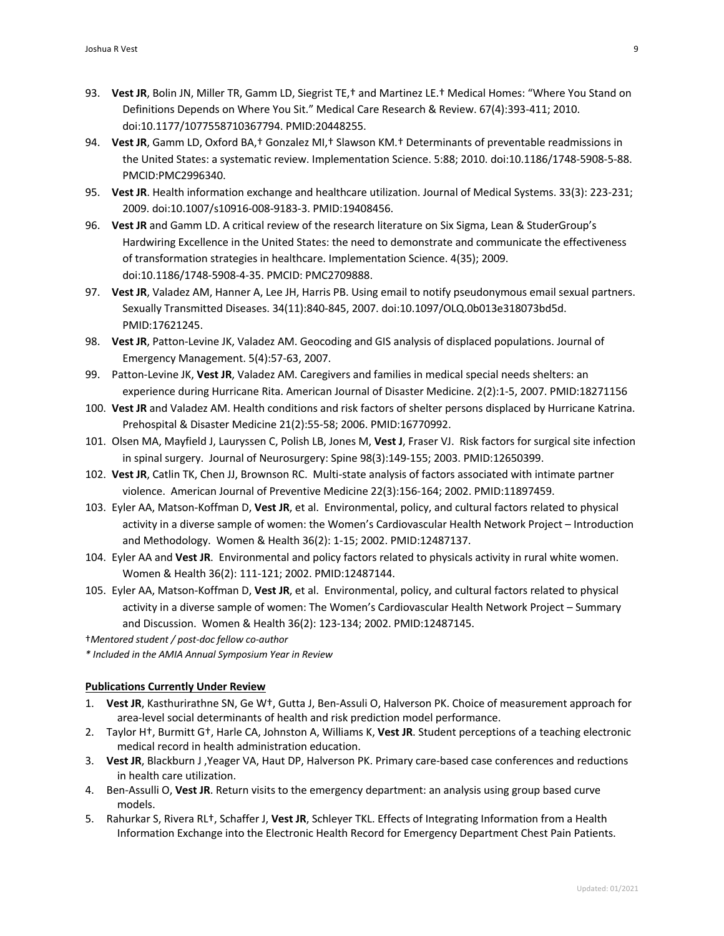- 93. **Vest JR**, Bolin JN, Miller TR, Gamm LD, Siegrist TE,† and Martinez LE.† Medical Homes: "Where You Stand on Definitions Depends on Where You Sit." Medical Care Research & Review. 67(4):393-411; 2010. doi:10.1177/1077558710367794. PMID:20448255.
- 94. **Vest JR**, Gamm LD, Oxford BA,† Gonzalez MI,† Slawson KM.† Determinants of preventable readmissions in the United States: a systematic review. Implementation Science. 5:88; 2010. doi:10.1186/1748-5908-5-88. PMCID:PMC2996340.
- 95. **Vest JR**. Health information exchange and healthcare utilization. Journal of Medical Systems. 33(3): 223-231; 2009. doi:10.1007/s10916-008-9183-3. PMID:19408456.
- 96. **Vest JR** and Gamm LD. A critical review of the research literature on Six Sigma, Lean & StuderGroup's Hardwiring Excellence in the United States: the need to demonstrate and communicate the effectiveness of transformation strategies in healthcare. Implementation Science. 4(35); 2009. doi:10.1186/1748-5908-4-35. PMCID: PMC2709888.
- 97. **Vest JR**, Valadez AM, Hanner A, Lee JH, Harris PB. Using email to notify pseudonymous email sexual partners. Sexually Transmitted Diseases. 34(11):840-845, 2007. doi:10.1097/OLQ.0b013e318073bd5d. PMID:17621245.
- 98. **Vest JR**, Patton-Levine JK, Valadez AM. Geocoding and GIS analysis of displaced populations. Journal of Emergency Management. 5(4):57-63, 2007.
- 99. Patton-Levine JK, **Vest JR**, Valadez AM. Caregivers and families in medical special needs shelters: an experience during Hurricane Rita. American Journal of Disaster Medicine. 2(2):1-5, 2007. PMID:18271156
- 100. **Vest JR** and Valadez AM. Health conditions and risk factors of shelter persons displaced by Hurricane Katrina. Prehospital & Disaster Medicine 21(2):55-58; 2006. PMID:16770992.
- 101. Olsen MA, Mayfield J, Lauryssen C, Polish LB, Jones M, **Vest J**, Fraser VJ. Risk factors for surgical site infection in spinal surgery. Journal of Neurosurgery: Spine 98(3):149-155; 2003. PMID:12650399.
- 102. **Vest JR**, Catlin TK, Chen JJ, Brownson RC. Multi-state analysis of factors associated with intimate partner violence. American Journal of Preventive Medicine 22(3):156-164; 2002. PMID:11897459.
- 103. Eyler AA, Matson-Koffman D, **Vest JR**, et al. Environmental, policy, and cultural factors related to physical activity in a diverse sample of women: the Women's Cardiovascular Health Network Project – Introduction and Methodology. Women & Health 36(2): 1-15; 2002. PMID:12487137.
- 104. Eyler AA and **Vest JR**. Environmental and policy factors related to physicals activity in rural white women. Women & Health 36(2): 111-121; 2002. PMID:12487144.
- 105. Eyler AA, Matson-Koffman D, **Vest JR**, et al. Environmental, policy, and cultural factors related to physical activity in a diverse sample of women: The Women's Cardiovascular Health Network Project – Summary and Discussion. Women & Health 36(2): 123-134; 2002. PMID:12487145.

†*Mentored student / post-doc fellow co-author*

*\* Included in the AMIA Annual Symposium Year in Review*

## **Publications Currently Under Review**

- 1. **Vest JR**, Kasthurirathne SN, Ge W†, Gutta J, Ben-Assuli O, Halverson PK. Choice of measurement approach for area-level social determinants of health and risk prediction model performance.
- 2. Taylor H†, Burmitt G†, Harle CA, Johnston A, Williams K, **Vest JR**. Student perceptions of a teaching electronic medical record in health administration education.
- 3. **Vest JR**, Blackburn J ,Yeager VA, Haut DP, Halverson PK. Primary care-based case conferences and reductions in health care utilization.
- 4. Ben-Assulli O, **Vest JR**. Return visits to the emergency department: an analysis using group based curve models.
- 5. Rahurkar S, Rivera RL†, Schaffer J, **Vest JR**, Schleyer TKL. Effects of Integrating Information from a Health Information Exchange into the Electronic Health Record for Emergency Department Chest Pain Patients.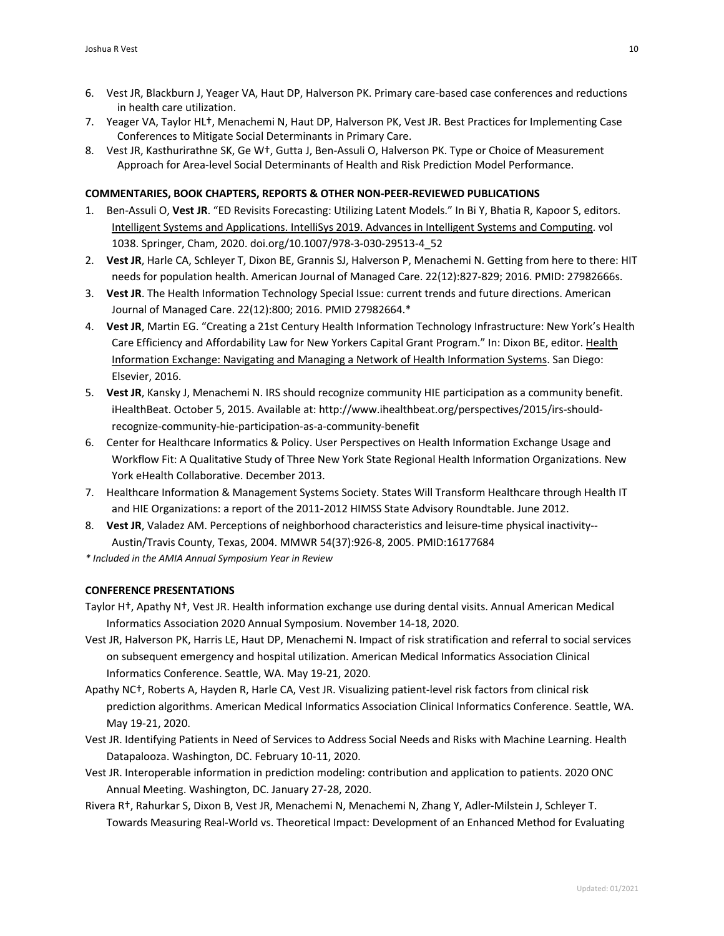- 6. Vest JR, Blackburn J, Yeager VA, Haut DP, Halverson PK. Primary care-based case conferences and reductions in health care utilization.
- 7. Yeager VA, Taylor HL†, Menachemi N, Haut DP, Halverson PK, Vest JR. Best Practices for Implementing Case Conferences to Mitigate Social Determinants in Primary Care.
- 8. Vest JR, Kasthurirathne SK, Ge W†, Gutta J, Ben-Assuli O, Halverson PK. Type or Choice of Measurement Approach for Area-level Social Determinants of Health and Risk Prediction Model Performance.

## **COMMENTARIES, BOOK CHAPTERS, REPORTS & OTHER NON-PEER-REVIEWED PUBLICATIONS**

- 1. Ben-Assuli O, **Vest JR**. "ED Revisits Forecasting: Utilizing Latent Models." In Bi Y, Bhatia R, Kapoor S, editors. Intelligent Systems and Applications. IntelliSys 2019. Advances in Intelligent Systems and Computing. vol 1038. Springer, Cham, 2020. doi.org/10.1007/978-3-030-29513-4\_52
- 2. **Vest JR**, Harle CA, Schleyer T, Dixon BE, Grannis SJ, Halverson P, Menachemi N. Getting from here to there: HIT needs for population health. American Journal of Managed Care. 22(12):827-829; 2016. PMID: 27982666s.
- 3. **Vest JR**. The Health Information Technology Special Issue: current trends and future directions. American Journal of Managed Care. 22(12):800; 2016. PMID 27982664.\*
- 4. **Vest JR**, Martin EG. "Creating a 21st Century Health Information Technology Infrastructure: New York's Health Care Efficiency and Affordability Law for New Yorkers Capital Grant Program." In: Dixon BE, editor. Health Information Exchange: Navigating and Managing a Network of Health Information Systems. San Diego: Elsevier, 2016.
- 5. **Vest JR**, Kansky J, Menachemi N. IRS should recognize community HIE participation as a community benefit. iHealthBeat. October 5, 2015. Available at: http://www.ihealthbeat.org/perspectives/2015/irs-shouldrecognize-community-hie-participation-as-a-community-benefit
- 6. Center for Healthcare Informatics & Policy. User Perspectives on Health Information Exchange Usage and Workflow Fit: A Qualitative Study of Three New York State Regional Health Information Organizations. New York eHealth Collaborative. December 2013.
- 7. Healthcare Information & Management Systems Society. States Will Transform Healthcare through Health IT and HIE Organizations: a report of the 2011-2012 HIMSS State Advisory Roundtable. June 2012.
- 8. **Vest JR**, Valadez AM. Perceptions of neighborhood characteristics and leisure-time physical inactivity-- Austin/Travis County, Texas, 2004. MMWR 54(37):926-8, 2005. PMID:16177684

*\* Included in the AMIA Annual Symposium Year in Review*

## **CONFERENCE PRESENTATIONS**

- Taylor H†, Apathy N†, Vest JR. Health information exchange use during dental visits. Annual American Medical Informatics Association 2020 Annual Symposium. November 14-18, 2020.
- Vest JR, Halverson PK, Harris LE, Haut DP, Menachemi N. Impact of risk stratification and referral to social services on subsequent emergency and hospital utilization. American Medical Informatics Association Clinical Informatics Conference. Seattle, WA. May 19-21, 2020.
- Apathy NC†, Roberts A, Hayden R, Harle CA, Vest JR. Visualizing patient-level risk factors from clinical risk prediction algorithms. American Medical Informatics Association Clinical Informatics Conference. Seattle, WA. May 19-21, 2020.
- Vest JR. Identifying Patients in Need of Services to Address Social Needs and Risks with Machine Learning. Health Datapalooza. Washington, DC. February 10-11, 2020.
- Vest JR. Interoperable information in prediction modeling: contribution and application to patients. 2020 ONC Annual Meeting. Washington, DC. January 27-28, 2020.
- Rivera R†, Rahurkar S, Dixon B, Vest JR, Menachemi N, Menachemi N, Zhang Y, Adler-Milstein J, Schleyer T. Towards Measuring Real-World vs. Theoretical Impact: Development of an Enhanced Method for Evaluating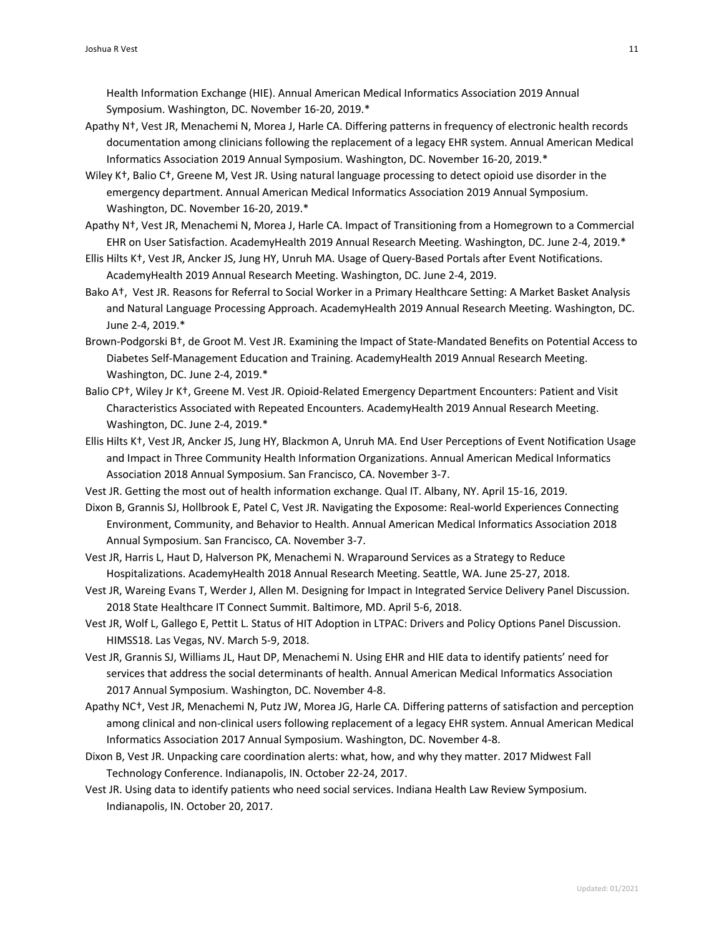Health Information Exchange (HIE). Annual American Medical Informatics Association 2019 Annual Symposium. Washington, DC. November 16-20, 2019.\*

- Apathy N†, Vest JR, Menachemi N, Morea J, Harle CA. Differing patterns in frequency of electronic health records documentation among clinicians following the replacement of a legacy EHR system. Annual American Medical Informatics Association 2019 Annual Symposium. Washington, DC. November 16-20, 2019.\*
- Wiley K†, Balio C†, Greene M, Vest JR. Using natural language processing to detect opioid use disorder in the emergency department. Annual American Medical Informatics Association 2019 Annual Symposium. Washington, DC. November 16-20, 2019.\*
- Apathy N†, Vest JR, Menachemi N, Morea J, Harle CA. Impact of Transitioning from a Homegrown to a Commercial EHR on User Satisfaction. AcademyHealth 2019 Annual Research Meeting. Washington, DC. June 2-4, 2019.\*
- Ellis Hilts K†, Vest JR, Ancker JS, Jung HY, Unruh MA. Usage of Query-Based Portals after Event Notifications. AcademyHealth 2019 Annual Research Meeting. Washington, DC. June 2-4, 2019.
- Bako A†, Vest JR. Reasons for Referral to Social Worker in a Primary Healthcare Setting: A Market Basket Analysis and Natural Language Processing Approach. AcademyHealth 2019 Annual Research Meeting. Washington, DC. June 2-4, 2019.\*
- Brown-Podgorski B†, de Groot M. Vest JR. Examining the Impact of State-Mandated Benefits on Potential Access to Diabetes Self-Management Education and Training. AcademyHealth 2019 Annual Research Meeting. Washington, DC. June 2-4, 2019.\*
- Balio CP†, Wiley Jr K†, Greene M. Vest JR. Opioid-Related Emergency Department Encounters: Patient and Visit Characteristics Associated with Repeated Encounters. AcademyHealth 2019 Annual Research Meeting. Washington, DC. June 2-4, 2019.\*
- Ellis Hilts K†, Vest JR, Ancker JS, Jung HY, Blackmon A, Unruh MA. End User Perceptions of Event Notification Usage and Impact in Three Community Health Information Organizations. Annual American Medical Informatics Association 2018 Annual Symposium. San Francisco, CA. November 3-7.
- Vest JR. Getting the most out of health information exchange. Qual IT. Albany, NY. April 15-16, 2019.
- Dixon B, Grannis SJ, Hollbrook E, Patel C, Vest JR. Navigating the Exposome: Real-world Experiences Connecting Environment, Community, and Behavior to Health. Annual American Medical Informatics Association 2018 Annual Symposium. San Francisco, CA. November 3-7.
- Vest JR, Harris L, Haut D, Halverson PK, Menachemi N. Wraparound Services as a Strategy to Reduce Hospitalizations. AcademyHealth 2018 Annual Research Meeting. Seattle, WA. June 25-27, 2018.
- Vest JR, Wareing Evans T, Werder J, Allen M. Designing for Impact in Integrated Service Delivery Panel Discussion. 2018 State Healthcare IT Connect Summit. Baltimore, MD. April 5-6, 2018.
- Vest JR, Wolf L, Gallego E, Pettit L. Status of HIT Adoption in LTPAC: Drivers and Policy Options Panel Discussion. HIMSS18. Las Vegas, NV. March 5-9, 2018.
- Vest JR, Grannis SJ, Williams JL, Haut DP, Menachemi N. Using EHR and HIE data to identify patients' need for services that address the social determinants of health. Annual American Medical Informatics Association 2017 Annual Symposium. Washington, DC. November 4-8.
- Apathy NC†, Vest JR, Menachemi N, Putz JW, Morea JG, Harle CA. Differing patterns of satisfaction and perception among clinical and non-clinical users following replacement of a legacy EHR system. Annual American Medical Informatics Association 2017 Annual Symposium. Washington, DC. November 4-8.
- Dixon B, Vest JR. Unpacking care coordination alerts: what, how, and why they matter. 2017 Midwest Fall Technology Conference. Indianapolis, IN. October 22-24, 2017.
- Vest JR. Using data to identify patients who need social services. Indiana Health Law Review Symposium. Indianapolis, IN. October 20, 2017.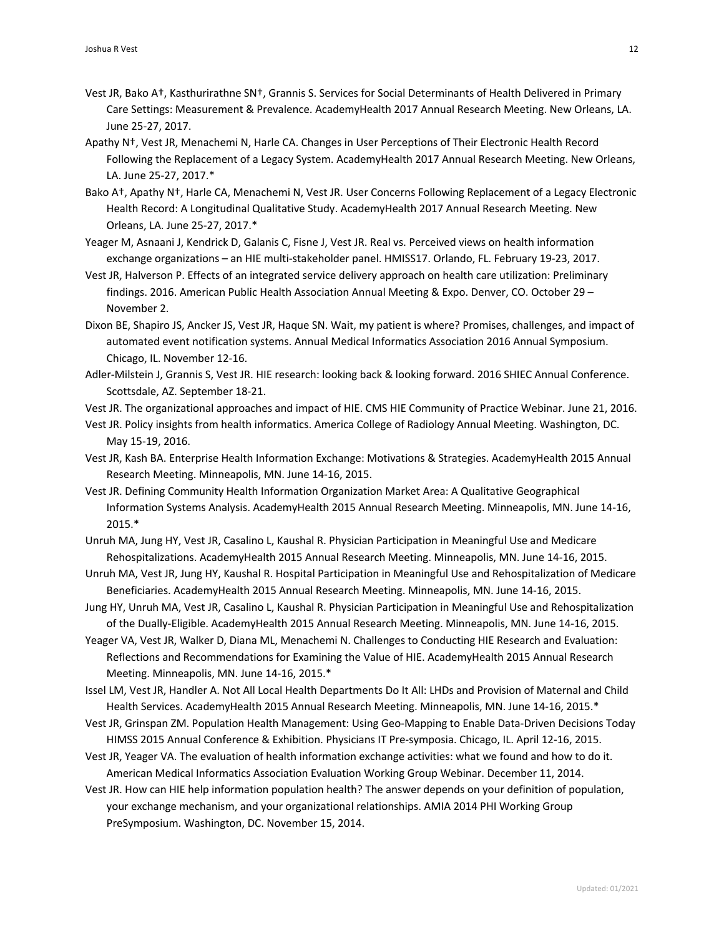- Vest JR, Bako A†, Kasthurirathne SN†, Grannis S. Services for Social Determinants of Health Delivered in Primary Care Settings: Measurement & Prevalence. AcademyHealth 2017 Annual Research Meeting. New Orleans, LA. June 25-27, 2017.
- Apathy N†, Vest JR, Menachemi N, Harle CA. Changes in User Perceptions of Their Electronic Health Record Following the Replacement of a Legacy System. AcademyHealth 2017 Annual Research Meeting. New Orleans, LA. June 25-27, 2017.\*
- Bako A†, Apathy N†, Harle CA, Menachemi N, Vest JR. User Concerns Following Replacement of a Legacy Electronic Health Record: A Longitudinal Qualitative Study. AcademyHealth 2017 Annual Research Meeting. New Orleans, LA. June 25-27, 2017.\*
- Yeager M, Asnaani J, Kendrick D, Galanis C, Fisne J, Vest JR. Real vs. Perceived views on health information exchange organizations – an HIE multi-stakeholder panel. HMISS17. Orlando, FL. February 19-23, 2017.
- Vest JR, Halverson P. Effects of an integrated service delivery approach on health care utilization: Preliminary findings. 2016. American Public Health Association Annual Meeting & Expo. Denver, CO. October 29 – November 2.
- Dixon BE, Shapiro JS, Ancker JS, Vest JR, Haque SN. Wait, my patient is where? Promises, challenges, and impact of automated event notification systems. Annual Medical Informatics Association 2016 Annual Symposium. Chicago, IL. November 12-16.
- Adler-Milstein J, Grannis S, Vest JR. HIE research: looking back & looking forward. 2016 SHIEC Annual Conference. Scottsdale, AZ. September 18-21.
- Vest JR. The organizational approaches and impact of HIE. CMS HIE Community of Practice Webinar. June 21, 2016.
- Vest JR. Policy insights from health informatics. America College of Radiology Annual Meeting. Washington, DC. May 15-19, 2016.
- Vest JR, Kash BA. Enterprise Health Information Exchange: Motivations & Strategies. AcademyHealth 2015 Annual Research Meeting. Minneapolis, MN. June 14-16, 2015.
- Vest JR. Defining Community Health Information Organization Market Area: A Qualitative Geographical Information Systems Analysis. AcademyHealth 2015 Annual Research Meeting. Minneapolis, MN. June 14-16, 2015.\*
- Unruh MA, Jung HY, Vest JR, Casalino L, Kaushal R. Physician Participation in Meaningful Use and Medicare Rehospitalizations. AcademyHealth 2015 Annual Research Meeting. Minneapolis, MN. June 14-16, 2015.
- Unruh MA, Vest JR, Jung HY, Kaushal R. Hospital Participation in Meaningful Use and Rehospitalization of Medicare Beneficiaries. AcademyHealth 2015 Annual Research Meeting. Minneapolis, MN. June 14-16, 2015.
- Jung HY, Unruh MA, Vest JR, Casalino L, Kaushal R. Physician Participation in Meaningful Use and Rehospitalization of the Dually-Eligible. AcademyHealth 2015 Annual Research Meeting. Minneapolis, MN. June 14-16, 2015.
- Yeager VA, Vest JR, Walker D, Diana ML, Menachemi N. Challenges to Conducting HIE Research and Evaluation: Reflections and Recommendations for Examining the Value of HIE. AcademyHealth 2015 Annual Research Meeting. Minneapolis, MN. June 14-16, 2015.\*
- Issel LM, Vest JR, Handler A. Not All Local Health Departments Do It All: LHDs and Provision of Maternal and Child Health Services. AcademyHealth 2015 Annual Research Meeting. Minneapolis, MN. June 14-16, 2015.\*
- Vest JR, Grinspan ZM. Population Health Management: Using Geo-Mapping to Enable Data-Driven Decisions Today HIMSS 2015 Annual Conference & Exhibition. Physicians IT Pre-symposia. Chicago, IL. April 12-16, 2015.
- Vest JR, Yeager VA. The evaluation of health information exchange activities: what we found and how to do it. American Medical Informatics Association Evaluation Working Group Webinar. December 11, 2014.
- Vest JR. How can HIE help information population health? The answer depends on your definition of population, your exchange mechanism, and your organizational relationships. AMIA 2014 PHI Working Group PreSymposium. Washington, DC. November 15, 2014.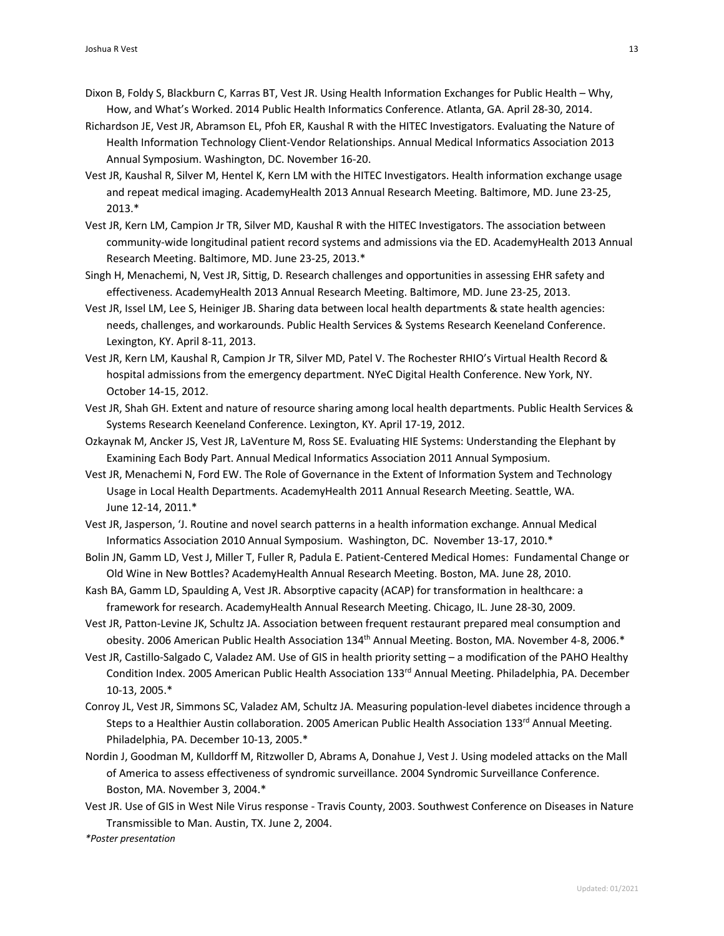- Dixon B, Foldy S, Blackburn C, Karras BT, Vest JR. Using Health Information Exchanges for Public Health Why, How, and What's Worked. 2014 Public Health Informatics Conference. Atlanta, GA. April 28-30, 2014.
- Richardson JE, Vest JR, Abramson EL, Pfoh ER, Kaushal R with the HITEC Investigators. Evaluating the Nature of Health Information Technology Client-Vendor Relationships. Annual Medical Informatics Association 2013 Annual Symposium. Washington, DC. November 16-20.
- Vest JR, Kaushal R, Silver M, Hentel K, Kern LM with the HITEC Investigators. Health information exchange usage and repeat medical imaging. AcademyHealth 2013 Annual Research Meeting. Baltimore, MD. June 23-25, 2013.\*
- Vest JR, Kern LM, Campion Jr TR, Silver MD, Kaushal R with the HITEC Investigators. The association between community-wide longitudinal patient record systems and admissions via the ED. AcademyHealth 2013 Annual Research Meeting. Baltimore, MD. June 23-25, 2013.\*
- Singh H, Menachemi, N, Vest JR, Sittig, D. Research challenges and opportunities in assessing EHR safety and effectiveness. AcademyHealth 2013 Annual Research Meeting. Baltimore, MD. June 23-25, 2013.
- Vest JR, Issel LM, Lee S, Heiniger JB. Sharing data between local health departments & state health agencies: needs, challenges, and workarounds. Public Health Services & Systems Research Keeneland Conference. Lexington, KY. April 8-11, 2013.
- Vest JR, Kern LM, Kaushal R, Campion Jr TR, Silver MD, Patel V. The Rochester RHIO's Virtual Health Record & hospital admissions from the emergency department. NYeC Digital Health Conference. New York, NY. October 14-15, 2012.
- Vest JR, Shah GH. Extent and nature of resource sharing among local health departments. Public Health Services & Systems Research Keeneland Conference. Lexington, KY. April 17-19, 2012.
- Ozkaynak M, Ancker JS, Vest JR, LaVenture M, Ross SE. Evaluating HIE Systems: Understanding the Elephant by Examining Each Body Part. Annual Medical Informatics Association 2011 Annual Symposium.
- Vest JR, Menachemi N, Ford EW. The Role of Governance in the Extent of Information System and Technology Usage in Local Health Departments. AcademyHealth 2011 Annual Research Meeting. Seattle, WA. June 12-14, 2011.\*
- Vest JR, Jasperson, 'J. Routine and novel search patterns in a health information exchange. Annual Medical Informatics Association 2010 Annual Symposium. Washington, DC. November 13-17, 2010.\*
- Bolin JN, Gamm LD, Vest J, Miller T, Fuller R, Padula E. Patient-Centered Medical Homes: Fundamental Change or Old Wine in New Bottles? AcademyHealth Annual Research Meeting. Boston, MA. June 28, 2010.
- Kash BA, Gamm LD, Spaulding A, Vest JR. Absorptive capacity (ACAP) for transformation in healthcare: a framework for research. AcademyHealth Annual Research Meeting. Chicago, IL. June 28-30, 2009.
- Vest JR, Patton-Levine JK, Schultz JA. Association between frequent restaurant prepared meal consumption and obesity. 2006 American Public Health Association 134<sup>th</sup> Annual Meeting. Boston, MA. November 4-8, 2006.\*
- Vest JR, Castillo-Salgado C, Valadez AM. Use of GIS in health priority setting a modification of the PAHO Healthy Condition Index. 2005 American Public Health Association 133rd Annual Meeting. Philadelphia, PA. December 10-13, 2005.\*
- Conroy JL, Vest JR, Simmons SC, Valadez AM, Schultz JA. Measuring population-level diabetes incidence through a Steps to a Healthier Austin collaboration. 2005 American Public Health Association 133<sup>rd</sup> Annual Meeting. Philadelphia, PA. December 10-13, 2005.\*
- Nordin J, Goodman M, Kulldorff M, Ritzwoller D, Abrams A, Donahue J, Vest J. Using modeled attacks on the Mall of America to assess effectiveness of syndromic surveillance. 2004 Syndromic Surveillance Conference. Boston, MA. November 3, 2004.\*
- Vest JR. Use of GIS in West Nile Virus response Travis County, 2003. Southwest Conference on Diseases in Nature Transmissible to Man. Austin, TX. June 2, 2004.

*\*Poster presentation*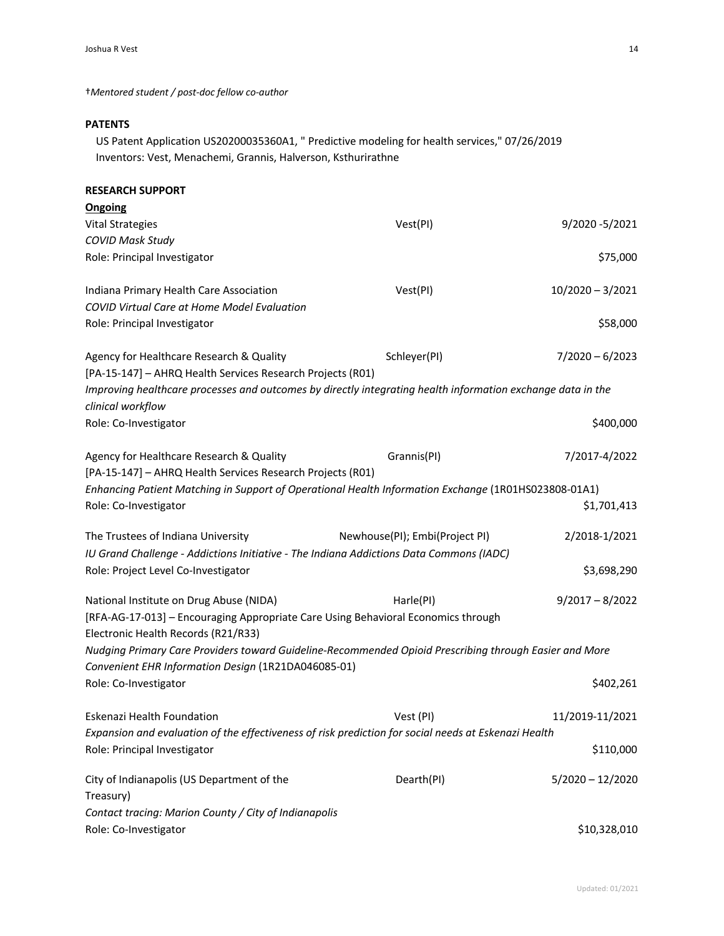†*Mentored student / post-doc fellow co-author*

## **PATENTS**

US Patent Application US20200035360A1, " Predictive modeling for health services," 07/26/2019 Inventors: Vest, Menachemi, Grannis, Halverson, Ksthurirathne

| <b>RESEARCH SUPPORT</b>                                                                                                          |                                |                    |
|----------------------------------------------------------------------------------------------------------------------------------|--------------------------------|--------------------|
| Ongoing                                                                                                                          |                                |                    |
| <b>Vital Strategies</b>                                                                                                          | Vest(PI)                       | 9/2020-5/2021      |
| <b>COVID Mask Study</b>                                                                                                          |                                |                    |
| Role: Principal Investigator                                                                                                     |                                | \$75,000           |
| Indiana Primary Health Care Association                                                                                          | Vest(PI)                       | $10/2020 - 3/2021$ |
| COVID Virtual Care at Home Model Evaluation                                                                                      |                                |                    |
| Role: Principal Investigator                                                                                                     |                                | \$58,000           |
| Agency for Healthcare Research & Quality                                                                                         | Schleyer(PI)                   | $7/2020 - 6/2023$  |
| [PA-15-147] - AHRQ Health Services Research Projects (R01)                                                                       |                                |                    |
| Improving healthcare processes and outcomes by directly integrating health information exchange data in the<br>clinical workflow |                                |                    |
| Role: Co-Investigator                                                                                                            |                                | \$400,000          |
| Agency for Healthcare Research & Quality                                                                                         | Grannis(PI)                    | 7/2017-4/2022      |
| [PA-15-147] - AHRQ Health Services Research Projects (R01)                                                                       |                                |                    |
| Enhancing Patient Matching in Support of Operational Health Information Exchange (1R01HS023808-01A1)                             |                                |                    |
| Role: Co-Investigator                                                                                                            |                                | \$1,701,413        |
| The Trustees of Indiana University                                                                                               | Newhouse(PI); Embi(Project PI) | 2/2018-1/2021      |
| IU Grand Challenge - Addictions Initiative - The Indiana Addictions Data Commons (IADC)                                          |                                |                    |
| Role: Project Level Co-Investigator                                                                                              |                                | \$3,698,290        |
| National Institute on Drug Abuse (NIDA)                                                                                          | Harle(PI)                      | $9/2017 - 8/2022$  |
| [RFA-AG-17-013] - Encouraging Appropriate Care Using Behavioral Economics through<br>Electronic Health Records (R21/R33)         |                                |                    |
| Nudging Primary Care Providers toward Guideline-Recommended Opioid Prescribing through Easier and More                           |                                |                    |
| Convenient EHR Information Design (1R21DA046085-01)                                                                              |                                |                    |
| Role: Co-Investigator                                                                                                            |                                | \$402,261          |
| Eskenazi Health Foundation                                                                                                       | Vest (PI)                      | 11/2019-11/2021    |
| Expansion and evaluation of the effectiveness of risk prediction for social needs at Eskenazi Health                             |                                |                    |
| Role: Principal Investigator                                                                                                     |                                | \$110,000          |
| City of Indianapolis (US Department of the                                                                                       | Dearth(PI)                     | $5/2020 - 12/2020$ |
| Treasury)                                                                                                                        |                                |                    |
| Contact tracing: Marion County / City of Indianapolis                                                                            |                                |                    |
| Role: Co-Investigator                                                                                                            |                                | \$10,328,010       |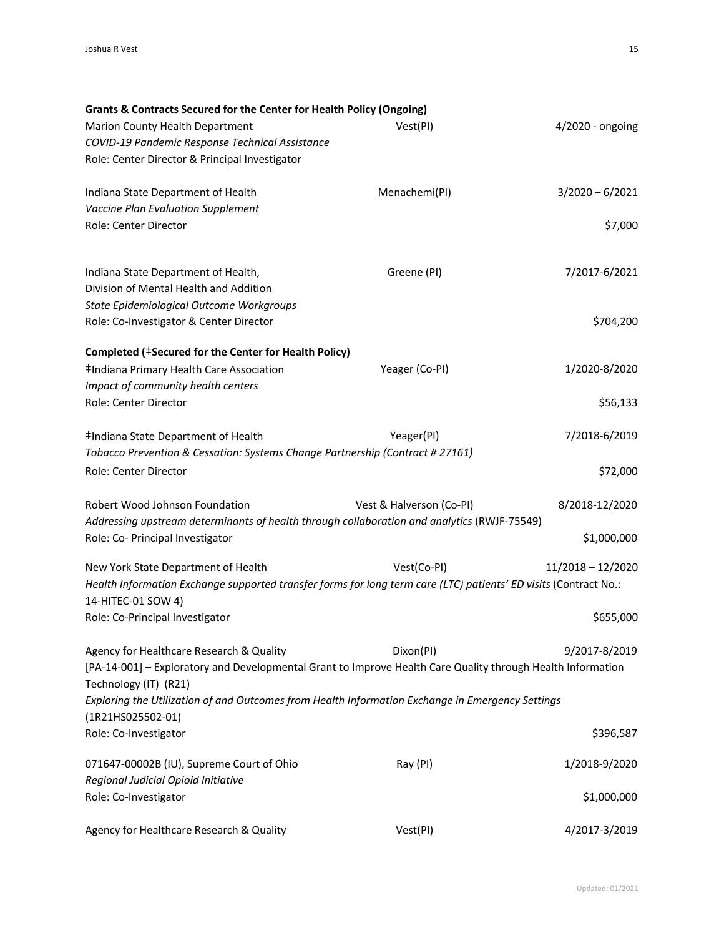| Grants & Contracts Secured for the Center for Health Policy (Ongoing)                                                                |                          |                     |
|--------------------------------------------------------------------------------------------------------------------------------------|--------------------------|---------------------|
| Marion County Health Department                                                                                                      | Vest(PI)                 | 4/2020 - ongoing    |
| COVID-19 Pandemic Response Technical Assistance                                                                                      |                          |                     |
| Role: Center Director & Principal Investigator                                                                                       |                          |                     |
| Indiana State Department of Health                                                                                                   | Menachemi(PI)            | $3/2020 - 6/2021$   |
| Vaccine Plan Evaluation Supplement                                                                                                   |                          |                     |
| Role: Center Director                                                                                                                |                          | \$7,000             |
| Indiana State Department of Health,                                                                                                  | Greene (PI)              | 7/2017-6/2021       |
| Division of Mental Health and Addition                                                                                               |                          |                     |
| State Epidemiological Outcome Workgroups                                                                                             |                          |                     |
| Role: Co-Investigator & Center Director                                                                                              |                          | \$704,200           |
| Completed (#Secured for the Center for Health Policy)                                                                                |                          |                     |
| ‡Indiana Primary Health Care Association                                                                                             | Yeager (Co-PI)           | 1/2020-8/2020       |
| Impact of community health centers                                                                                                   |                          |                     |
| Role: Center Director                                                                                                                |                          | \$56,133            |
| #Indiana State Department of Health                                                                                                  | Yeager(PI)               | 7/2018-6/2019       |
| Tobacco Prevention & Cessation: Systems Change Partnership (Contract # 27161)                                                        |                          |                     |
| Role: Center Director                                                                                                                |                          | \$72,000            |
| Robert Wood Johnson Foundation                                                                                                       | Vest & Halverson (Co-PI) | 8/2018-12/2020      |
| Addressing upstream determinants of health through collaboration and analytics (RWJF-75549)                                          |                          |                     |
| Role: Co- Principal Investigator                                                                                                     |                          | \$1,000,000         |
| New York State Department of Health                                                                                                  | Vest(Co-PI)              | $11/2018 - 12/2020$ |
| Health Information Exchange supported transfer forms for long term care (LTC) patients' ED visits (Contract No.:                     |                          |                     |
| 14-HITEC-01 SOW 4)                                                                                                                   |                          |                     |
| Role: Co-Principal Investigator                                                                                                      |                          | \$655,000           |
| Agency for Healthcare Research & Quality                                                                                             | Dixon(PI)                | 9/2017-8/2019       |
| [PA-14-001] - Exploratory and Developmental Grant to Improve Health Care Quality through Health Information<br>Technology (IT) (R21) |                          |                     |
| Exploring the Utilization of and Outcomes from Health Information Exchange in Emergency Settings                                     |                          |                     |
| (1R21HS025502-01)                                                                                                                    |                          |                     |
| Role: Co-Investigator                                                                                                                |                          | \$396,587           |
| 071647-00002B (IU), Supreme Court of Ohio                                                                                            | Ray (PI)                 | 1/2018-9/2020       |
| Regional Judicial Opioid Initiative                                                                                                  |                          |                     |
| Role: Co-Investigator                                                                                                                |                          | \$1,000,000         |
| Agency for Healthcare Research & Quality                                                                                             | Vest(PI)                 | 4/2017-3/2019       |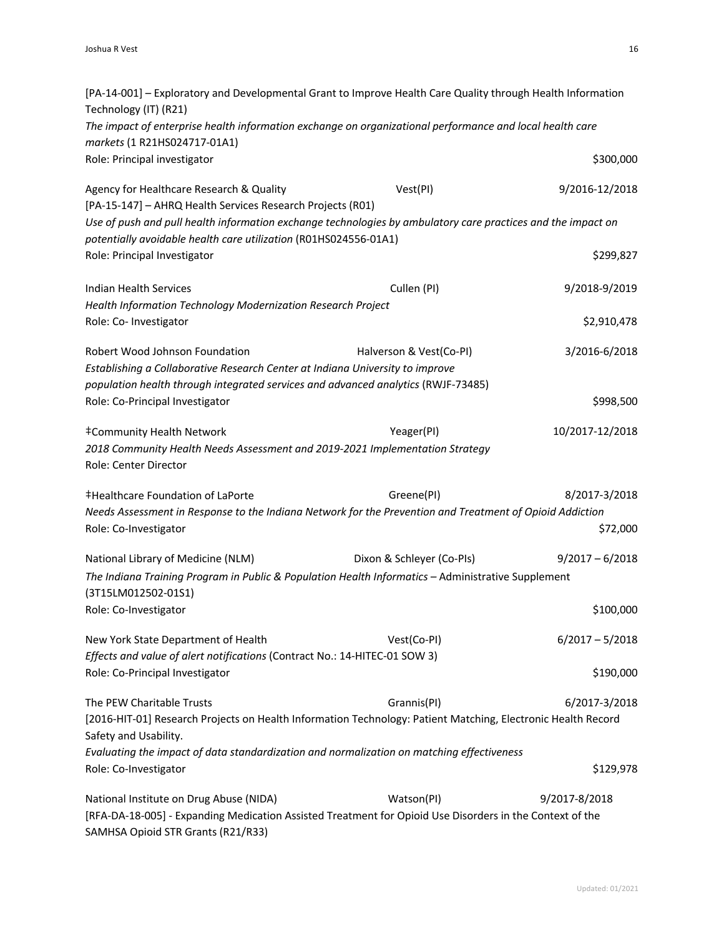| [PA-14-001] - Exploratory and Developmental Grant to Improve Health Care Quality through Health Information<br>Technology (IT) (R21)                                             |                           |                           |
|----------------------------------------------------------------------------------------------------------------------------------------------------------------------------------|---------------------------|---------------------------|
| The impact of enterprise health information exchange on organizational performance and local health care<br>markets (1 R21HS024717-01A1)                                         |                           |                           |
| Role: Principal investigator                                                                                                                                                     |                           | \$300,000                 |
| Agency for Healthcare Research & Quality<br>[PA-15-147] - AHRQ Health Services Research Projects (R01)                                                                           | Vest(PI)                  | 9/2016-12/2018            |
| Use of push and pull health information exchange technologies by ambulatory care practices and the impact on<br>potentially avoidable health care utilization (R01HS024556-01A1) |                           |                           |
| Role: Principal Investigator                                                                                                                                                     |                           | \$299,827                 |
| Indian Health Services<br>Health Information Technology Modernization Research Project                                                                                           | Cullen (PI)               | 9/2018-9/2019             |
| Role: Co- Investigator                                                                                                                                                           |                           | \$2,910,478               |
| Robert Wood Johnson Foundation<br>Establishing a Collaborative Research Center at Indiana University to improve                                                                  | Halverson & Vest(Co-PI)   | 3/2016-6/2018             |
| population health through integrated services and advanced analytics (RWJF-73485)<br>Role: Co-Principal Investigator                                                             |                           | \$998,500                 |
| ‡Community Health Network<br>2018 Community Health Needs Assessment and 2019-2021 Implementation Strategy<br>Role: Center Director                                               | Yeager(PI)                | 10/2017-12/2018           |
| <b>‡Healthcare Foundation of LaPorte</b><br>Needs Assessment in Response to the Indiana Network for the Prevention and Treatment of Opioid Addiction<br>Role: Co-Investigator    | Greene(PI)                | 8/2017-3/2018<br>\$72,000 |
| National Library of Medicine (NLM)<br>The Indiana Training Program in Public & Population Health Informatics - Administrative Supplement<br>(3T15LM012502-01S1)                  | Dixon & Schleyer (Co-PIs) | $9/2017 - 6/2018$         |
| Role: Co-Investigator                                                                                                                                                            |                           | \$100,000                 |
| New York State Department of Health<br>Effects and value of alert notifications (Contract No.: 14-HITEC-01 SOW 3)                                                                | Vest(Co-PI)               | $6/2017 - 5/2018$         |
| Role: Co-Principal Investigator                                                                                                                                                  |                           | \$190,000                 |
| The PEW Charitable Trusts<br>[2016-HIT-01] Research Projects on Health Information Technology: Patient Matching, Electronic Health Record<br>Safety and Usability.               | Grannis(PI)               | 6/2017-3/2018             |
| Evaluating the impact of data standardization and normalization on matching effectiveness<br>Role: Co-Investigator                                                               |                           | \$129,978                 |
| National Institute on Drug Abuse (NIDA)<br>[RFA-DA-18-005] - Expanding Medication Assisted Treatment for Opioid Use Disorders in the Context of the                              | Watson(PI)                | 9/2017-8/2018             |

SAMHSA Opioid STR Grants (R21/R33)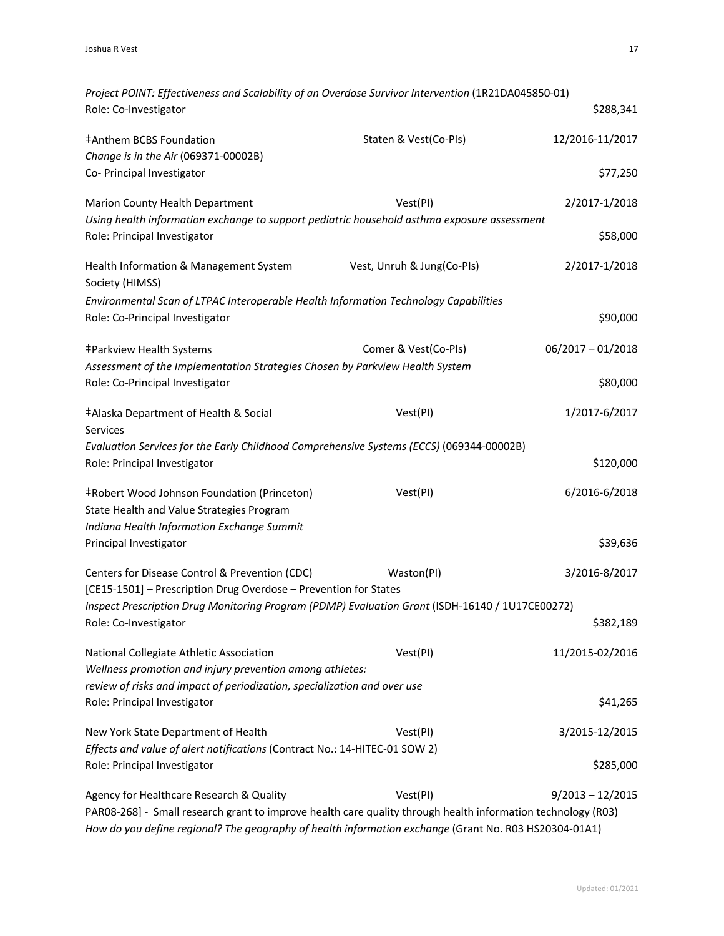| Project POINT: Effectiveness and Scalability of an Overdose Survivor Intervention (1R21DA045850-01)                                                                                                                   |                            |                     |
|-----------------------------------------------------------------------------------------------------------------------------------------------------------------------------------------------------------------------|----------------------------|---------------------|
| Role: Co-Investigator                                                                                                                                                                                                 |                            | \$288,341           |
| ‡Anthem BCBS Foundation                                                                                                                                                                                               | Staten & Vest(Co-PIs)      | 12/2016-11/2017     |
| Change is in the Air (069371-00002B)<br>Co- Principal Investigator                                                                                                                                                    |                            | \$77,250            |
| Marion County Health Department                                                                                                                                                                                       | Vest(PI)                   | 2/2017-1/2018       |
| Using health information exchange to support pediatric household asthma exposure assessment                                                                                                                           |                            |                     |
| Role: Principal Investigator                                                                                                                                                                                          |                            | \$58,000            |
| Health Information & Management System<br>Society (HIMSS)                                                                                                                                                             | Vest, Unruh & Jung(Co-PIs) | 2/2017-1/2018       |
| Environmental Scan of LTPAC Interoperable Health Information Technology Capabilities                                                                                                                                  |                            |                     |
| Role: Co-Principal Investigator                                                                                                                                                                                       |                            | \$90,000            |
| ‡Parkview Health Systems                                                                                                                                                                                              | Comer & Vest(Co-PIs)       | $06/2017 - 01/2018$ |
| Assessment of the Implementation Strategies Chosen by Parkview Health System<br>Role: Co-Principal Investigator                                                                                                       |                            | \$80,000            |
| ‡Alaska Department of Health & Social<br><b>Services</b>                                                                                                                                                              | Vest(PI)                   | 1/2017-6/2017       |
| Evaluation Services for the Early Childhood Comprehensive Systems (ECCS) (069344-00002B)                                                                                                                              |                            |                     |
| Role: Principal Investigator                                                                                                                                                                                          |                            | \$120,000           |
| <b>‡Robert Wood Johnson Foundation (Princeton)</b>                                                                                                                                                                    | Vest(PI)                   | 6/2016-6/2018       |
| State Health and Value Strategies Program<br>Indiana Health Information Exchange Summit                                                                                                                               |                            |                     |
| Principal Investigator                                                                                                                                                                                                |                            | \$39,636            |
| Centers for Disease Control & Prevention (CDC)                                                                                                                                                                        | Waston(PI)                 | 3/2016-8/2017       |
| [CE15-1501] - Prescription Drug Overdose - Prevention for States                                                                                                                                                      |                            |                     |
| Inspect Prescription Drug Monitoring Program (PDMP) Evaluation Grant (ISDH-16140 / 1U17CE00272)<br>Role: Co-Investigator                                                                                              |                            | \$382,189           |
| National Collegiate Athletic Association                                                                                                                                                                              | Vest(PI)                   | 11/2015-02/2016     |
| Wellness promotion and injury prevention among athletes:<br>review of risks and impact of periodization, specialization and over use                                                                                  |                            |                     |
| Role: Principal Investigator                                                                                                                                                                                          |                            | \$41,265            |
| New York State Department of Health                                                                                                                                                                                   | Vest(PI)                   | 3/2015-12/2015      |
| Effects and value of alert notifications (Contract No.: 14-HITEC-01 SOW 2)                                                                                                                                            |                            |                     |
| Role: Principal Investigator                                                                                                                                                                                          |                            | \$285,000           |
| Agency for Healthcare Research & Quality                                                                                                                                                                              | Vest(PI)                   | $9/2013 - 12/2015$  |
| PAR08-268] - Small research grant to improve health care quality through health information technology (R03)<br>How do you define regional? The geography of health information exchange (Grant No. R03 HS20304-01A1) |                            |                     |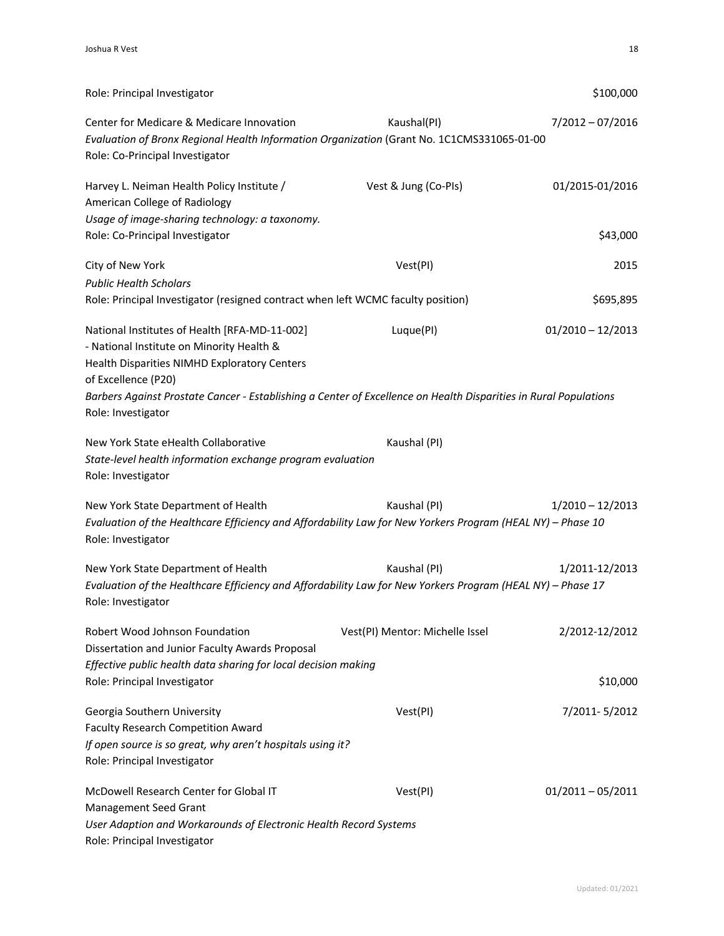| Role: Principal Investigator                                                                                                                                                                                                                                                                                |                                 | \$100,000                   |
|-------------------------------------------------------------------------------------------------------------------------------------------------------------------------------------------------------------------------------------------------------------------------------------------------------------|---------------------------------|-----------------------------|
| Center for Medicare & Medicare Innovation<br>Evaluation of Bronx Regional Health Information Organization (Grant No. 1C1CMS331065-01-00<br>Role: Co-Principal Investigator                                                                                                                                  | Kaushal(PI)                     | $7/2012 - 07/2016$          |
| Harvey L. Neiman Health Policy Institute /<br>American College of Radiology<br>Usage of image-sharing technology: a taxonomy.<br>Role: Co-Principal Investigator                                                                                                                                            | Vest & Jung (Co-PIs)            | 01/2015-01/2016<br>\$43,000 |
|                                                                                                                                                                                                                                                                                                             |                                 |                             |
| City of New York<br><b>Public Health Scholars</b>                                                                                                                                                                                                                                                           | Vest(PI)                        | 2015                        |
| Role: Principal Investigator (resigned contract when left WCMC faculty position)                                                                                                                                                                                                                            |                                 | \$695,895                   |
| National Institutes of Health [RFA-MD-11-002]<br>- National Institute on Minority Health &<br>Health Disparities NIMHD Exploratory Centers<br>of Excellence (P20)<br>Barbers Against Prostate Cancer - Establishing a Center of Excellence on Health Disparities in Rural Populations<br>Role: Investigator | Luque(PI)                       | $01/2010 - 12/2013$         |
| New York State eHealth Collaborative<br>State-level health information exchange program evaluation<br>Role: Investigator                                                                                                                                                                                    | Kaushal (PI)                    |                             |
| New York State Department of Health<br>Evaluation of the Healthcare Efficiency and Affordability Law for New Yorkers Program (HEAL NY) - Phase 10<br>Role: Investigator                                                                                                                                     | Kaushal (PI)                    | $1/2010 - 12/2013$          |
| New York State Department of Health<br>Evaluation of the Healthcare Efficiency and Affordability Law for New Yorkers Program (HEAL NY) - Phase 17<br>Role: Investigator                                                                                                                                     | Kaushal (PI)                    | 1/2011-12/2013              |
| Robert Wood Johnson Foundation<br>Dissertation and Junior Faculty Awards Proposal<br>Effective public health data sharing for local decision making                                                                                                                                                         | Vest(PI) Mentor: Michelle Issel | 2/2012-12/2012              |
| Role: Principal Investigator                                                                                                                                                                                                                                                                                |                                 | \$10,000                    |
| Georgia Southern University<br><b>Faculty Research Competition Award</b><br>If open source is so great, why aren't hospitals using it?<br>Role: Principal Investigator                                                                                                                                      | Vest(PI)                        | 7/2011-5/2012               |
| McDowell Research Center for Global IT<br>Management Seed Grant<br>User Adaption and Workarounds of Electronic Health Record Systems<br>Role: Principal Investigator                                                                                                                                        | Vest(PI)                        | $01/2011 - 05/2011$         |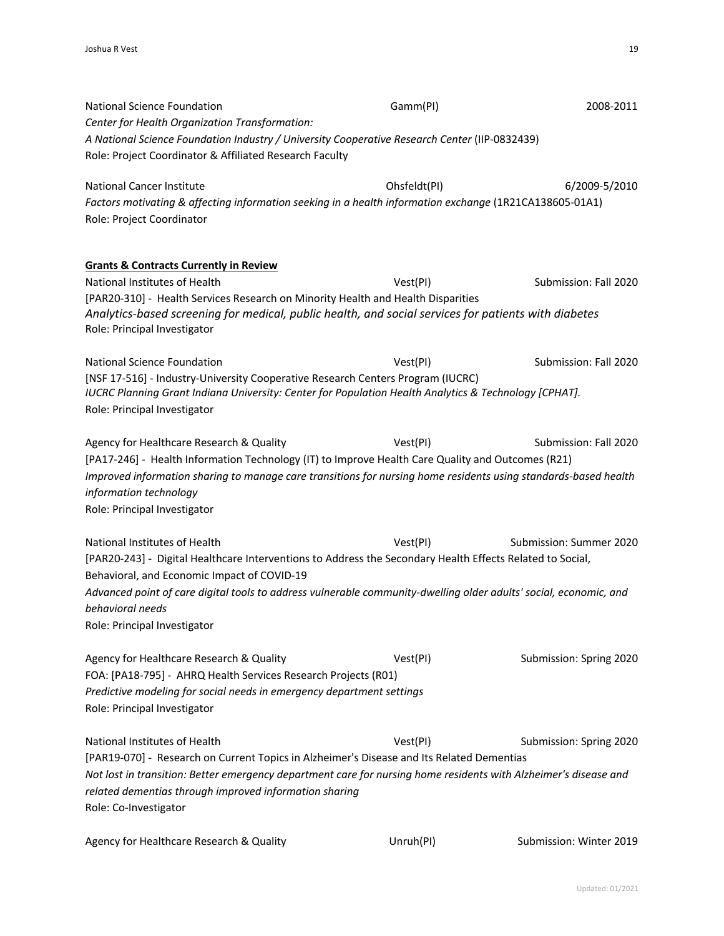National Science Foundation Gamm(PI) 2008-2011 *Center for Health Organization Transformation: A National Science Foundation Industry / University Cooperative Research Center* (IIP-0832439) Role: Project Coordinator & Affiliated Research Faculty National Cancer Institute **Cancer Institute** Cancer **Institute Cancer Institute Cancer Institute 6/2009-5/2010** *Factors motivating & affecting information seeking in a health information exchange* (1R21CA138605-01A1) Role: Project Coordinator **Grants & Contracts Currently in Review** National Institutes of Health Vest(PI) Submission: Fall 2020 [PAR20-310] - Health Services Research on Minority Health and Health Disparities *Analytics-based screening for medical, public health, and social services for patients with diabetes* Role: Principal Investigator National Science Foundation and Mation Control of Vest(PI) Submission: Fall 2020 [NSF 17-516] - Industry-University Cooperative Research Centers Program (IUCRC) *IUCRC Planning Grant Indiana University: Center for Population Health Analytics & Technology [CPHAT].* Role: Principal Investigator Agency for Healthcare Research & Quality Vest(PI) Vest(PI) Submission: Fall 2020 [PA17-246] - Health Information Technology (IT) to Improve Health Care Quality and Outcomes (R21) *Improved information sharing to manage care transitions for nursing home residents using standards-based health information technology* Role: Principal Investigator National Institutes of Health Vest(PI) National Institutes of Health Vest(PI) Submission: Summer 2020 [PAR20-243] - Digital Healthcare Interventions to Address the Secondary Health Effects Related to Social, Behavioral, and Economic Impact of COVID-19 *Advanced point of care digital tools to address vulnerable community-dwelling older adults' social, economic, and behavioral needs* Role: Principal Investigator Agency for Healthcare Research & Quality Vest(PI) Vest(PI) Submission: Spring 2020 FOA: [PA18-795] - AHRQ Health Services Research Projects (R01) *Predictive modeling for social needs in emergency department settings* Role: Principal Investigator National Institutes of Health Vest(PI) National Institutes of Health Vest(PI) Submission: Spring 2020 [PAR19-070] - Research on Current Topics in Alzheimer's Disease and Its Related Dementias *Not lost in transition: Better emergency department care for nursing home residents with Alzheimer's disease and related dementias through improved information sharing* Role: Co-Investigator Agency for Healthcare Research & Quality Unruh(PI) Submission: Winter 2019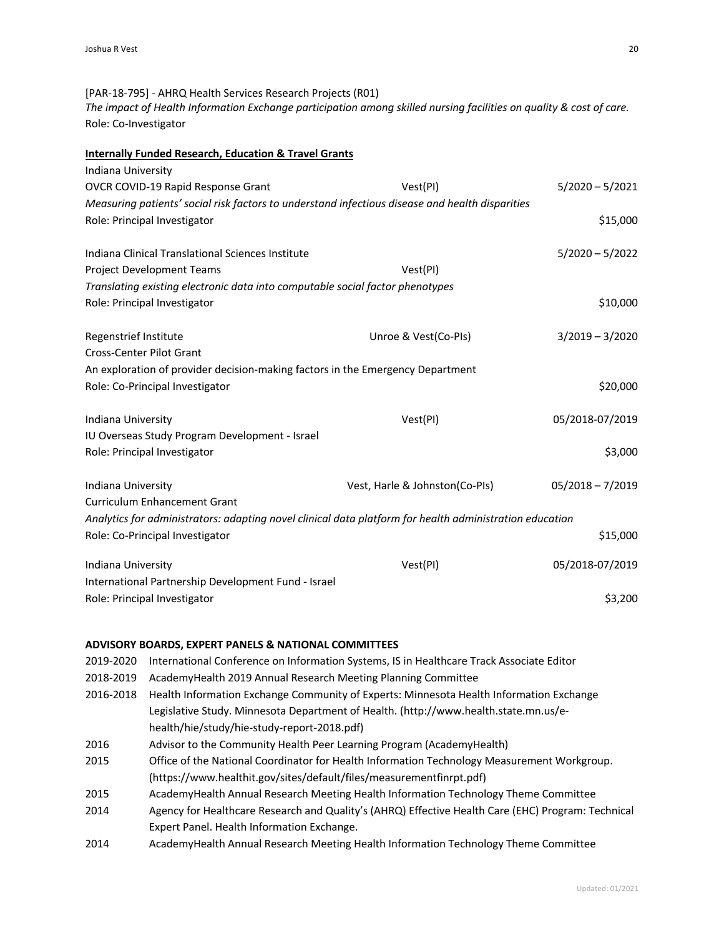[PAR-18-795] - AHRQ Health Services Research Projects (R01) *The impact of Health Information Exchange participation among skilled nursing facilities on quality & cost of care.* Role: Co-Investigator

#### **Internally Funded Research, Education & Travel Grants**

| Indiana University                                                                                      |                                |                    |
|---------------------------------------------------------------------------------------------------------|--------------------------------|--------------------|
| OVCR COVID-19 Rapid Response Grant                                                                      | Vest(PI)                       | $5/2020 - 5/2021$  |
| Measuring patients' social risk factors to understand infectious disease and health disparities         |                                |                    |
| Role: Principal Investigator                                                                            |                                | \$15,000           |
| Indiana Clinical Translational Sciences Institute                                                       |                                | $5/2020 - 5/2022$  |
| Project Development Teams                                                                               | Vest(PI)                       |                    |
| Translating existing electronic data into computable social factor phenotypes                           |                                |                    |
| Role: Principal Investigator                                                                            |                                | \$10,000           |
| Regenstrief Institute                                                                                   | Unroe & Vest(Co-PIs)           | $3/2019 - 3/2020$  |
| <b>Cross-Center Pilot Grant</b>                                                                         |                                |                    |
| An exploration of provider decision-making factors in the Emergency Department                          |                                |                    |
| Role: Co-Principal Investigator                                                                         |                                | \$20,000           |
| Indiana University                                                                                      | Vest(PI)                       | 05/2018-07/2019    |
| IU Overseas Study Program Development - Israel                                                          |                                |                    |
| Role: Principal Investigator                                                                            |                                | \$3,000            |
| Indiana University                                                                                      | Vest, Harle & Johnston(Co-PIs) | $05/2018 - 7/2019$ |
| <b>Curriculum Enhancement Grant</b>                                                                     |                                |                    |
| Analytics for administrators: adapting novel clinical data platform for health administration education |                                |                    |
| Role: Co-Principal Investigator                                                                         |                                | \$15,000           |
| Indiana University                                                                                      | Vest(PI)                       | 05/2018-07/2019    |
| International Partnership Development Fund - Israel                                                     |                                |                    |
| Role: Principal Investigator                                                                            |                                | \$3,200            |

#### **ADVISORY BOARDS, EXPERT PANELS & NATIONAL COMMITTEES**

2019-2020 International Conference on Information Systems, IS in Healthcare Track Associate Editor 2018-2019 AcademyHealth 2019 Annual Research Meeting Planning Committee 2016-2018 Health Information Exchange Community of Experts: Minnesota Health Information Exchange Legislative Study. Minnesota Department of Health. (http://www.health.state.mn.us/ehealth/hie/study/hie-study-report-2018.pdf) 2016 Advisor to the Community Health Peer Learning Program (AcademyHealth) 2015 Office of the National Coordinator for Health Information Technology Measurement Workgroup. (https://www.healthit.gov/sites/default/files/measurementfinrpt.pdf) 2015 AcademyHealth Annual Research Meeting Health Information Technology Theme Committee 2014 Agency for Healthcare Research and Quality's (AHRQ) Effective Health Care (EHC) Program: Technical Expert Panel. Health Information Exchange. 2014 AcademyHealth Annual Research Meeting Health Information Technology Theme Committee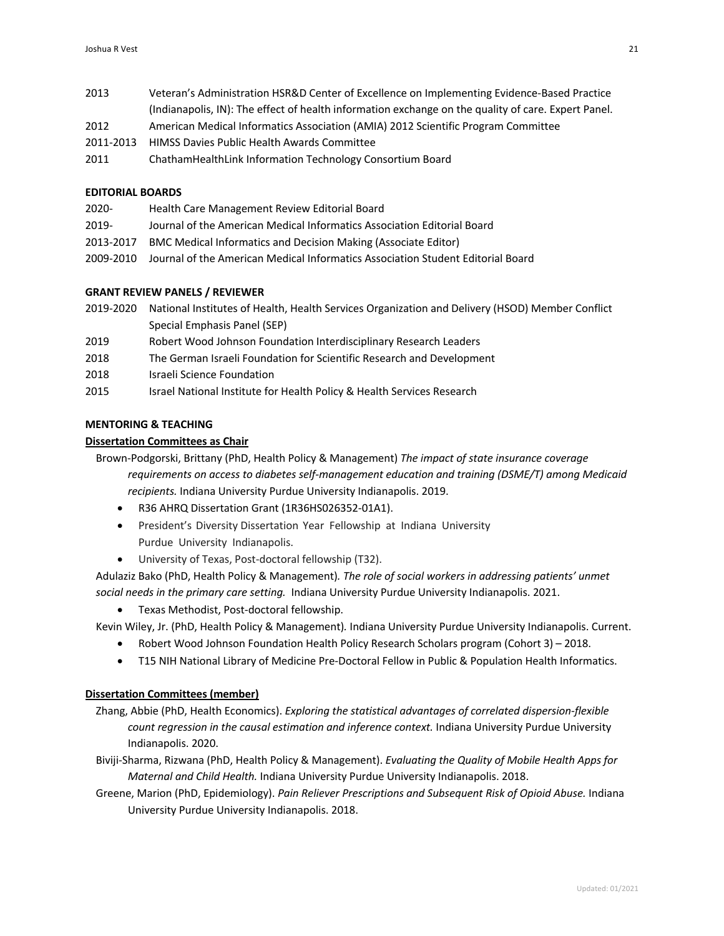- 2013 Veteran's Administration HSR&D Center of Excellence on Implementing Evidence-Based Practice (Indianapolis, IN): The effect of health information exchange on the quality of care. Expert Panel.
- 2012 American Medical Informatics Association (AMIA) 2012 Scientific Program Committee
- 2011-2013 HIMSS Davies Public Health Awards Committee
- 2011 ChathamHealthLink Information Technology Consortium Board

#### **EDITORIAL BOARDS**

- 2020- Health Care Management Review Editorial Board
- 2019- Journal of the American Medical Informatics Association Editorial Board
- 2013-2017 BMC Medical Informatics and Decision Making (Associate Editor)
- 2009-2010 Journal of the American Medical Informatics Association Student Editorial Board

## **GRANT REVIEW PANELS / REVIEWER**

- 2019-2020 National Institutes of Health, Health Services Organization and Delivery (HSOD) Member Conflict Special Emphasis Panel (SEP)
- 2019 Robert Wood Johnson Foundation Interdisciplinary Research Leaders
- 2018 The German Israeli Foundation for Scientific Research and Development
- 2018 Israeli Science Foundation
- 2015 Israel National Institute for Health Policy & Health Services Research

## **MENTORING & TEACHING**

### **Dissertation Committees as Chair**

Brown-Podgorski, Brittany (PhD, Health Policy & Management) *The impact of state insurance coverage requirements on access to diabetes self-management education and training (DSME/T) among Medicaid recipients.* Indiana University Purdue University Indianapolis. 2019.

- R36 AHRQ Dissertation Grant (1R36HS026352-01A1).
- President's Diversity Dissertation Year Fellowship at Indiana University Purdue University Indianapolis.
- University of Texas, Post-doctoral fellowship (T32).

Adulaziz Bako (PhD, Health Policy & Management)*. The role of social workers in addressing patients' unmet social needs in the primary care setting.* Indiana University Purdue University Indianapolis. 2021.

• Texas Methodist, Post-doctoral fellowship.

Kevin Wiley, Jr. (PhD, Health Policy & Management)*.* Indiana University Purdue University Indianapolis. Current.

- Robert Wood Johnson Foundation Health Policy Research Scholars program (Cohort 3) 2018.
- T15 NIH National Library of Medicine Pre-Doctoral Fellow in Public & Population Health Informatics.

## **Dissertation Committees (member)**

- Zhang, Abbie (PhD, Health Economics). *Exploring the statistical advantages of correlated dispersion-flexible count regression in the causal estimation and inference context.* Indiana University Purdue University Indianapolis. 2020.
- Biviji-Sharma, Rizwana (PhD, Health Policy & Management). *Evaluating the Quality of Mobile Health Apps for Maternal and Child Health.* Indiana University Purdue University Indianapolis. 2018.
- Greene, Marion (PhD, Epidemiology). *Pain Reliever Prescriptions and Subsequent Risk of Opioid Abuse.* Indiana University Purdue University Indianapolis. 2018.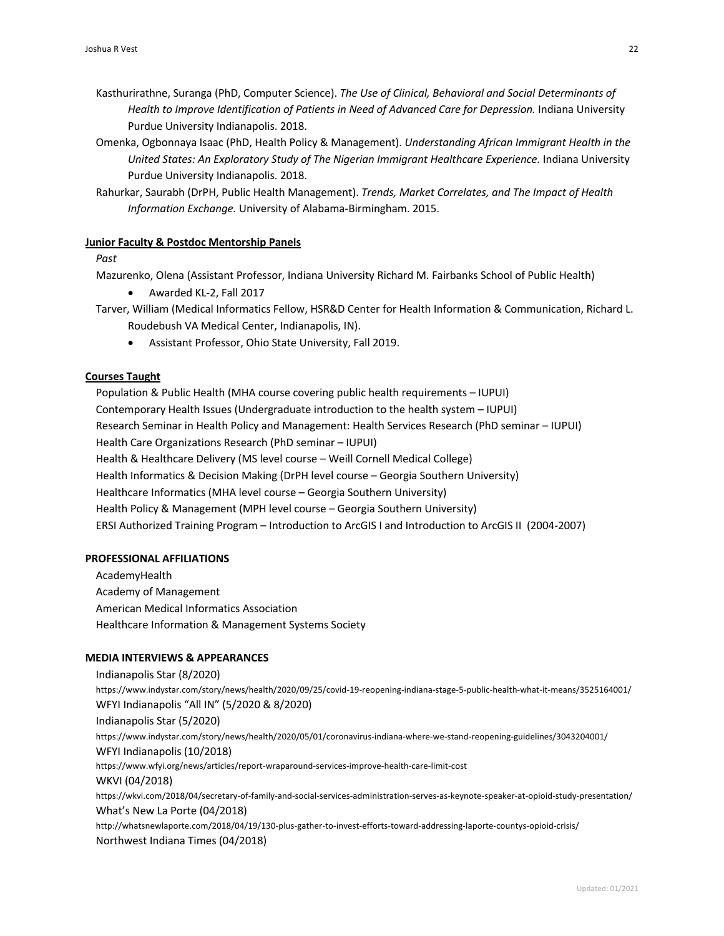- Kasthurirathne, Suranga (PhD, Computer Science). *The Use of Clinical, Behavioral and Social Determinants of Health to Improve Identification of Patients in Need of Advanced Care for Depression.* Indiana University Purdue University Indianapolis. 2018.
- Omenka, Ogbonnaya Isaac (PhD, Health Policy & Management). *Understanding African Immigrant Health in the United States: An Exploratory Study of The Nigerian Immigrant Healthcare Experience.* Indiana University Purdue University Indianapolis. 2018.
- Rahurkar, Saurabh (DrPH, Public Health Management). *Trends, Market Correlates, and The Impact of Health Information Exchange.* University of Alabama-Birmingham. 2015.

#### **Junior Faculty & Postdoc Mentorship Panels**

*Past*

Mazurenko, Olena (Assistant Professor, Indiana University Richard M. Fairbanks School of Public Health)

- Awarded KL-2, Fall 2017
- Tarver, William (Medical Informatics Fellow, HSR&D Center for Health Information & Communication, Richard L. Roudebush VA Medical Center, Indianapolis, IN).
	- Assistant Professor, Ohio State University, Fall 2019.

#### **Courses Taught**

Population & Public Health (MHA course covering public health requirements – IUPUI) Contemporary Health Issues (Undergraduate introduction to the health system – IUPUI) Research Seminar in Health Policy and Management: Health Services Research (PhD seminar – IUPUI) Health Care Organizations Research (PhD seminar – IUPUI) Health & Healthcare Delivery (MS level course – Weill Cornell Medical College) Health Informatics & Decision Making (DrPH level course – Georgia Southern University) Healthcare Informatics (MHA level course – Georgia Southern University) Health Policy & Management (MPH level course – Georgia Southern University) ERSI Authorized Training Program – Introduction to ArcGIS I and Introduction to ArcGIS II (2004-2007)

#### **PROFESSIONAL AFFILIATIONS**

AcademyHealth Academy of Management American Medical Informatics Association Healthcare Information & Management Systems Society

#### **MEDIA INTERVIEWS & APPEARANCES**

Indianapolis Star (8/2020) https://www.indystar.com/story/news/health/2020/09/25/covid-19-reopening-indiana-stage-5-public-health-what-it-means/3525164001/ WFYI Indianapolis "All IN" (5/2020 & 8/2020) Indianapolis Star (5/2020) https://www.indystar.com/story/news/health/2020/05/01/coronavirus-indiana-where-we-stand-reopening-guidelines/3043204001/ WFYI Indianapolis (10/2018) https://www.wfyi.org/news/articles/report-wraparound-services-improve-health-care-limit-cost WKVI (04/2018) https://wkvi.com/2018/04/secretary-of-family-and-social-services-administration-serves-as-keynote-speaker-at-opioid-study-presentation/ What's New La Porte (04/2018) http://whatsnewlaporte.com/2018/04/19/130-plus-gather-to-invest-efforts-toward-addressing-laporte-countys-opioid-crisis/ Northwest Indiana Times (04/2018)